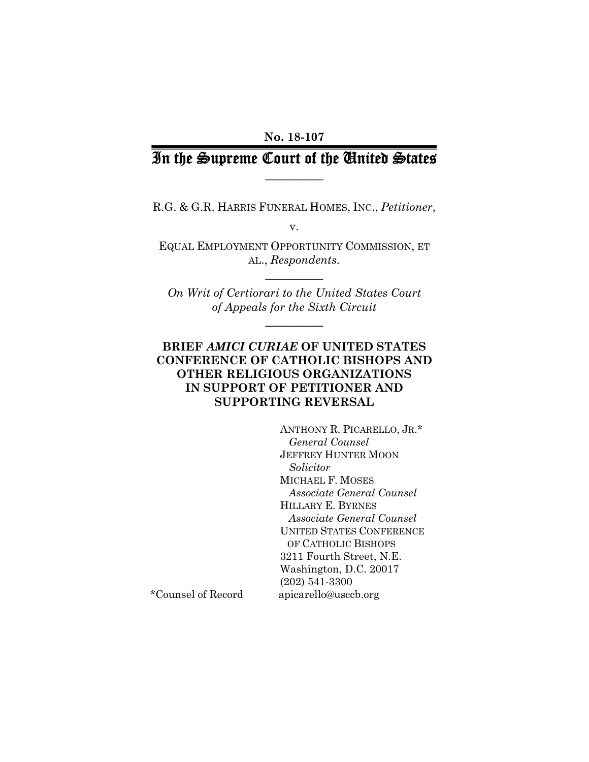## **No. 18-107**

# In the Supreme Court of the United States **\_\_\_\_\_\_\_\_\_\_**

R.G. & G.R. HARRIS FUNERAL HOMES, INC., *Petitioner*,

v.

EQUAL EMPLOYMENT OPPORTUNITY COMMISSION, ET AL., *Respondents.*

**\_\_\_\_\_\_\_\_\_\_** 

*On Writ of Certiorari to the United States Court of Appeals for the Sixth Circuit* 

**\_\_\_\_\_\_\_\_\_\_** 

# **BRIEF** *AMICI CURIAE* **OF UNITED STATES CONFERENCE OF CATHOLIC BISHOPS AND OTHER RELIGIOUS ORGANIZATIONS IN SUPPORT OF PETITIONER AND SUPPORTING REVERSAL**

ANTHONY R. PICARELLO, JR.\*  *General Counsel*  JEFFREY HUNTER MOON  *Solicitor*  MICHAEL F. MOSES *Associate General Counsel*  HILLARY E. BYRNES *Associate General Counsel*  UNITED STATES CONFERENCE OF CATHOLIC BISHOPS 3211 Fourth Street, N.E. Washington, D.C. 20017 (202) 541-3300 \*Counsel of Record apicarello@usccb.org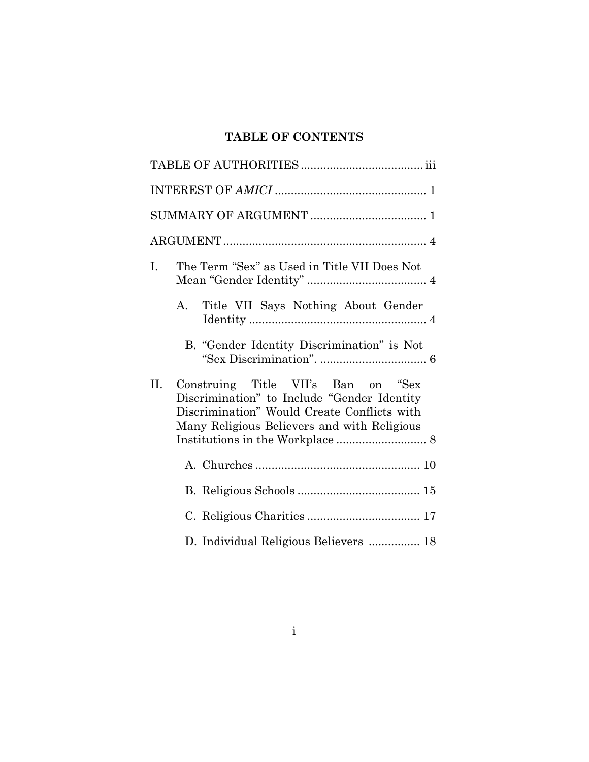# **TABLE OF CONTENTS**

| I. | The Term "Sex" as Used in Title VII Does Not                                                                                                                                     |
|----|----------------------------------------------------------------------------------------------------------------------------------------------------------------------------------|
|    | Title VII Says Nothing About Gender<br>А.                                                                                                                                        |
|    | B. "Gender Identity Discrimination" is Not                                                                                                                                       |
| П. | Construing Title VII's Ban on "Sex"<br>Discrimination" to Include "Gender Identity<br>Discrimination" Would Create Conflicts with<br>Many Religious Believers and with Religious |
|    |                                                                                                                                                                                  |
|    |                                                                                                                                                                                  |
|    |                                                                                                                                                                                  |
|    | D. Individual Religious Believers  18                                                                                                                                            |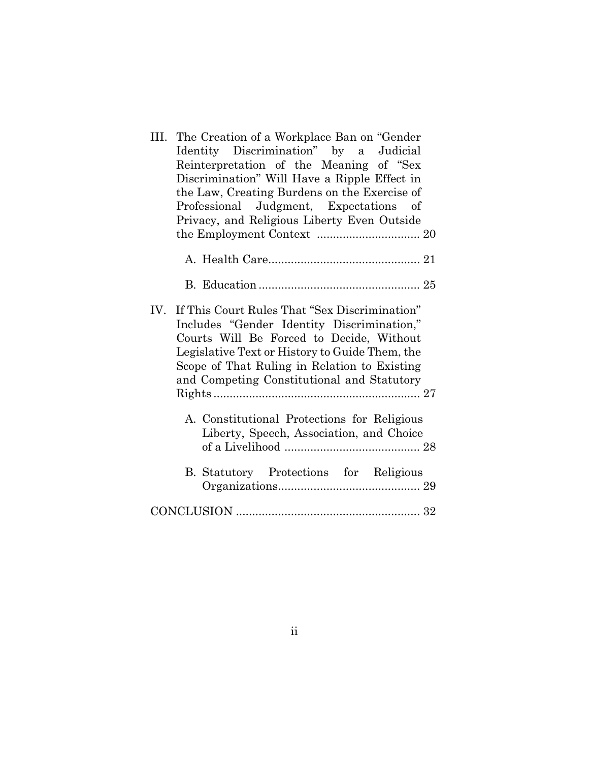| The Creation of a Workplace Ban on "Gender"<br>III. |
|-----------------------------------------------------|
| Identity Discrimination" by a Judicial              |
| Reinterpretation of the Meaning of "Sex             |
| Discrimination" Will Have a Ripple Effect in        |
| the Law, Creating Burdens on the Exercise of        |
| Professional Judgment, Expectations of              |
| Privacy, and Religious Liberty Even Outside         |
|                                                     |
|                                                     |
|                                                     |
|                                                     |
|                                                     |
|                                                     |
| IV. If This Court Rules That "Sex Discrimination"   |
| Includes "Gender Identity Discrimination,"          |
| Courts Will Be Forced to Decide, Without            |
| Legislative Text or History to Guide Them, the      |
| Scope of That Ruling in Relation to Existing        |
| and Competing Constitutional and Statutory          |
|                                                     |
|                                                     |
| A. Constitutional Protections for Religious         |
| Liberty, Speech, Association, and Choice            |
|                                                     |
|                                                     |
| B. Statutory Protections for Religious              |
|                                                     |
|                                                     |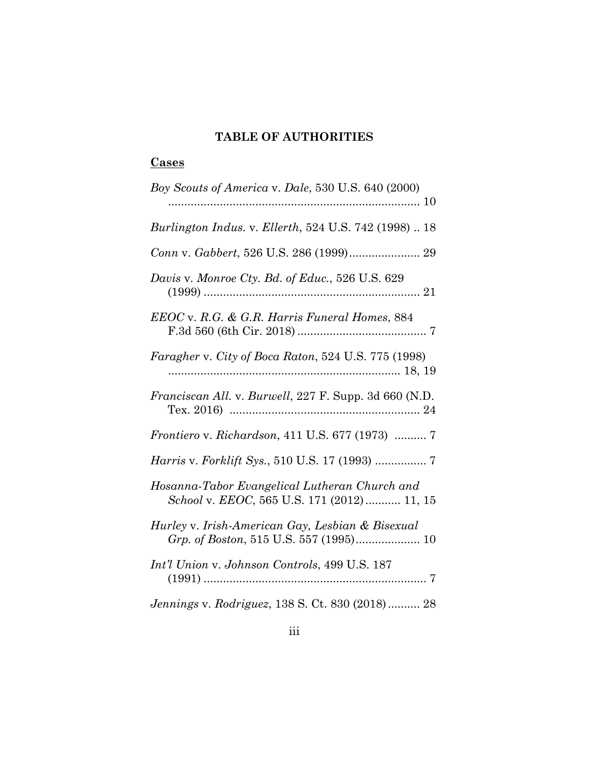# **TABLE OF AUTHORITIES**

# **Cases**

| Boy Scouts of America v. Dale, 530 U.S. 640 (2000)                                          |
|---------------------------------------------------------------------------------------------|
| Burlington Indus. v. Ellerth, 524 U.S. 742 (1998)  18                                       |
|                                                                                             |
| Davis v. Monroe Cty. Bd. of Educ., 526 U.S. 629                                             |
| EEOC v. R.G. & G.R. Harris Funeral Homes, 884                                               |
| Faragher v. City of Boca Raton, 524 U.S. 775 (1998)                                         |
| <i>Franciscan All. v. Burwell, 227 F. Supp. 3d 660 (N.D.</i>                                |
| <i>Frontiero v. Richardson, 411 U.S. 677 (1973) </i> 7                                      |
|                                                                                             |
| Hosanna-Tabor Evangelical Lutheran Church and<br>School v. EEOC, 565 U.S. 171 (2012) 11, 15 |
| Hurley v. Irish-American Gay, Lesbian & Bisexual                                            |
| Int'l Union v. Johnson Controls, 499 U.S. 187                                               |
| Jennings v. Rodriguez, 138 S. Ct. 830 (2018) 28                                             |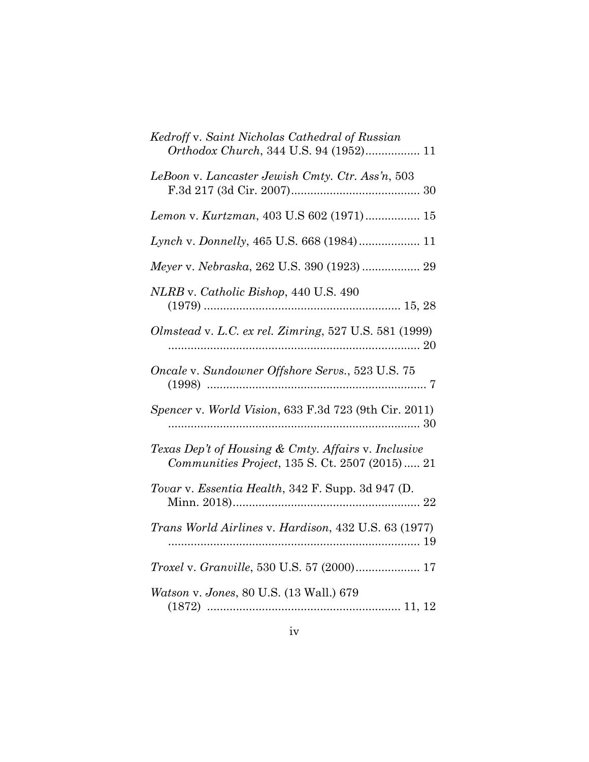| Kedroff v. Saint Nicholas Cathedral of Russian<br>Orthodox Church, 344 U.S. 94 (1952) 11               |
|--------------------------------------------------------------------------------------------------------|
| LeBoon v. Lancaster Jewish Cmty. Ctr. Ass'n, 503                                                       |
| Lemon v. Kurtzman, 403 U.S 602 (1971) 15                                                               |
| Lynch v. Donnelly, 465 U.S. 668 (1984) 11                                                              |
| Meyer v. Nebraska, 262 U.S. 390 (1923)  29                                                             |
| NLRB v. Catholic Bishop, 440 U.S. 490                                                                  |
| Olmstead v. L.C. ex rel. Zimring, 527 U.S. 581 (1999)                                                  |
| Oncale v. Sundowner Offshore Servs., 523 U.S. 75                                                       |
| Spencer v. World Vision, 633 F.3d 723 (9th Cir. 2011)                                                  |
| Texas Dep't of Housing & Cmty. Affairs v. Inclusive<br>Communities Project, 135 S. Ct. 2507 (2015)  21 |
| Tovar v. Essentia Health, 342 F. Supp. 3d 947 (D.                                                      |
| <i>Trans World Airlines v. Hardison, 432 U.S. 63 (1977)</i>                                            |
| <i>Troxel v. Granville, 530 U.S. 57 (2000)</i> 17                                                      |
| Watson v. Jones, 80 U.S. (13 Wall.) 679                                                                |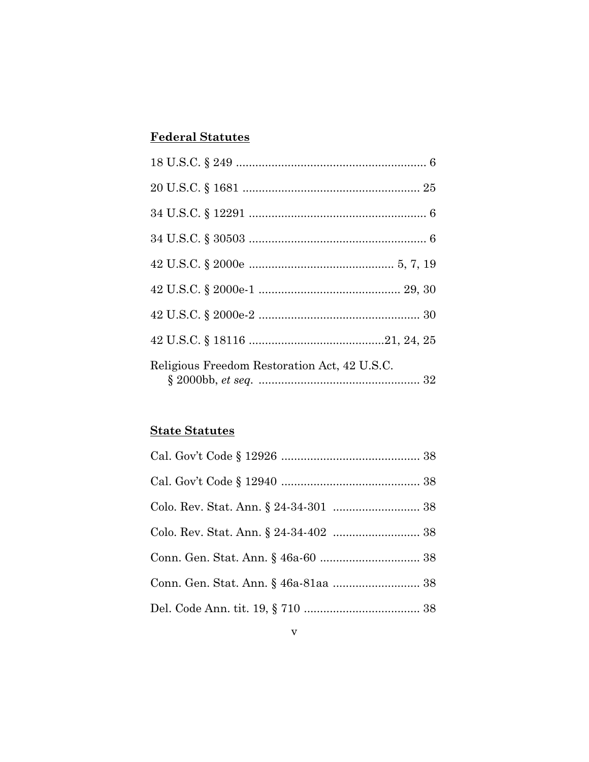# **Federal Statutes**

| Religious Freedom Restoration Act, 42 U.S.C. |  |
|----------------------------------------------|--|

# **State Statutes**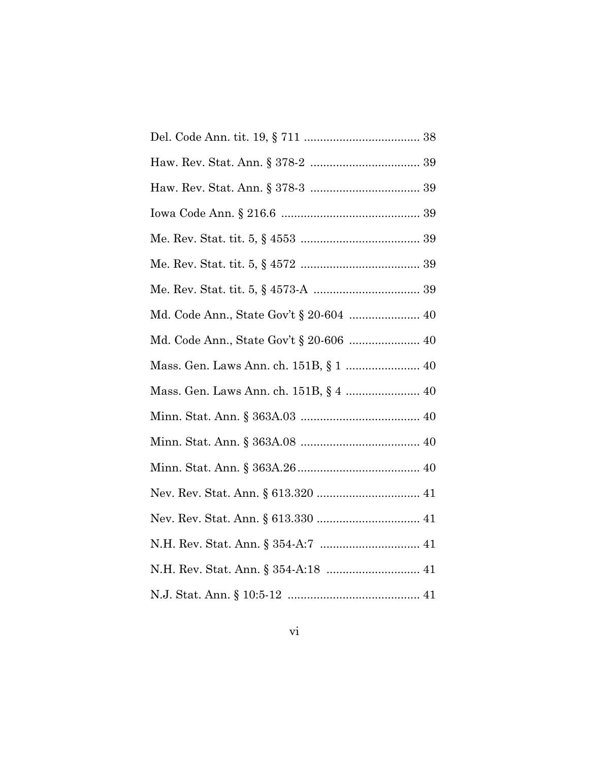| Mass. Gen. Laws Ann. ch. 151B, § 4  40 |
|----------------------------------------|
|                                        |
|                                        |
|                                        |
|                                        |
|                                        |
|                                        |
|                                        |
|                                        |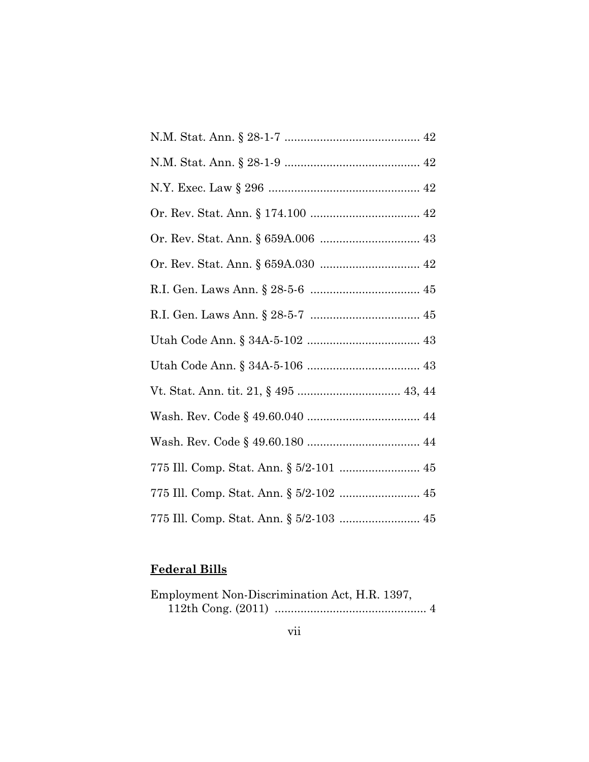| 775 Ill. Comp. Stat. Ann. § 5/2-103  45 |
|-----------------------------------------|

# **Federal Bills**

| Employment Non-Discrimination Act, H.R. 1397, |  |
|-----------------------------------------------|--|
|                                               |  |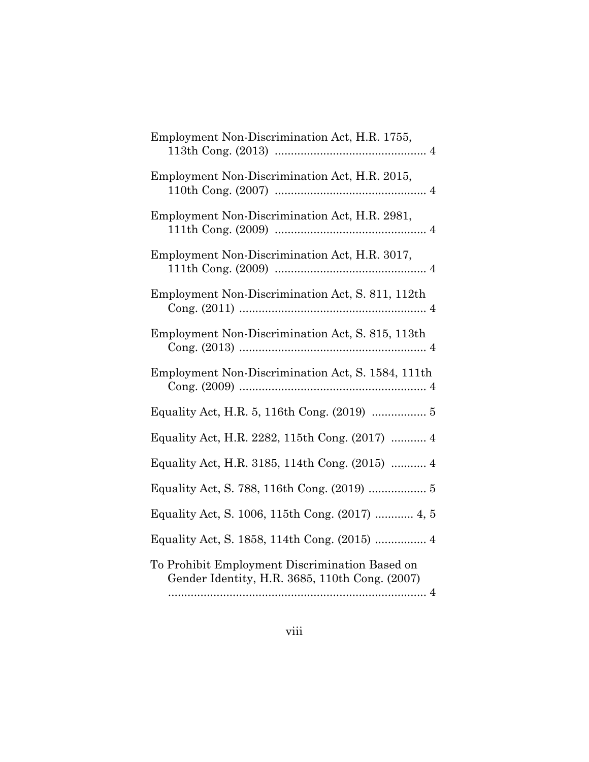| Employment Non-Discrimination Act, H.R. 1755,                                                    |
|--------------------------------------------------------------------------------------------------|
| Employment Non-Discrimination Act, H.R. 2015,                                                    |
| Employment Non-Discrimination Act, H.R. 2981,                                                    |
| Employment Non-Discrimination Act, H.R. 3017,                                                    |
| Employment Non-Discrimination Act, S. 811, 112th                                                 |
| Employment Non-Discrimination Act, S. 815, 113th                                                 |
| Employment Non-Discrimination Act, S. 1584, 111th                                                |
|                                                                                                  |
| Equality Act, H.R. 2282, 115th Cong. (2017)  4                                                   |
| Equality Act, H.R. 3185, 114th Cong. (2015)  4                                                   |
|                                                                                                  |
| Equality Act, S. 1006, 115th Cong. (2017)  4, 5                                                  |
| Equality Act, S. 1858, 114th Cong. (2015)  4                                                     |
| To Prohibit Employment Discrimination Based on<br>Gender Identity, H.R. 3685, 110th Cong. (2007) |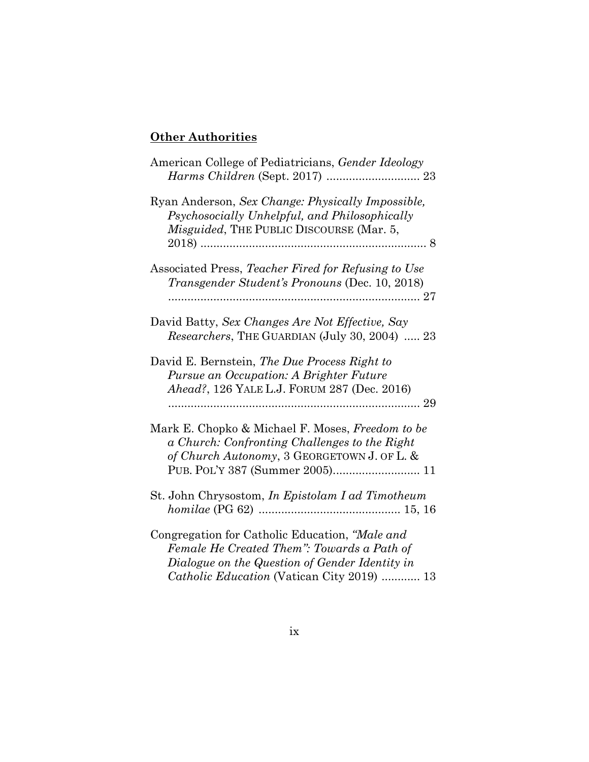# **Other Authorities**

| American College of Pediatricians, Gender Ideology                                                                                                                                           |
|----------------------------------------------------------------------------------------------------------------------------------------------------------------------------------------------|
| Ryan Anderson, Sex Change: Physically Impossible,<br>Psychosocially Unhelpful, and Philosophically<br><i>Misguided</i> , THE PUBLIC DISCOURSE (Mar. 5,                                       |
| Associated Press, Teacher Fired for Refusing to Use<br>Transgender Student's Pronouns (Dec. 10, 2018)                                                                                        |
| David Batty, Sex Changes Are Not Effective, Say<br>Researchers, THE GUARDIAN (July 30, 2004)  23                                                                                             |
| David E. Bernstein, The Due Process Right to<br>Pursue an Occupation: A Brighter Future<br>Ahead?, 126 YALE L.J. FORUM 287 (Dec. 2016)                                                       |
| Mark E. Chopko & Michael F. Moses, Freedom to be<br>a Church: Confronting Challenges to the Right<br>of Church Autonomy, 3 GEORGETOWN J. OF L. &                                             |
| St. John Chrysostom, In Epistolam I ad Timotheum                                                                                                                                             |
| Congregation for Catholic Education, "Male and<br>Female He Created Them": Towards a Path of<br>Dialogue on the Question of Gender Identity in<br>Catholic Education (Vatican City 2019)  13 |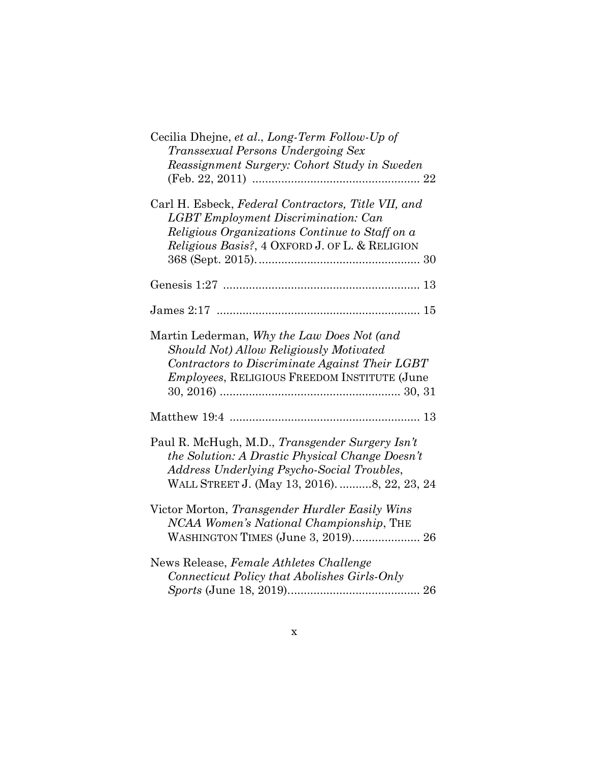| Cecilia Dhejne, et al., Long-Term Follow-Up of<br>Transsexual Persons Undergoing Sex<br>Reassignment Surgery: Cohort Study in Sweden                                                                  |
|-------------------------------------------------------------------------------------------------------------------------------------------------------------------------------------------------------|
| Carl H. Esbeck, Federal Contractors, Title VII, and<br><b>LGBT</b> Employment Discrimination: Can<br>Religious Organizations Continue to Staff on a<br>Religious Basis?, 4 OXFORD J. OF L. & RELIGION |
|                                                                                                                                                                                                       |
|                                                                                                                                                                                                       |
| Martin Lederman, Why the Law Does Not (and<br>Should Not) Allow Religiously Motivated<br>Contractors to Discriminate Against Their LGBT<br><i>Employees, RELIGIOUS FREEDOM INSTITUTE (June</i>        |
|                                                                                                                                                                                                       |
| Paul R. McHugh, M.D., Transgender Surgery Isn't<br>the Solution: A Drastic Physical Change Doesn't<br>Address Underlying Psycho-Social Troubles,<br>WALL STREET J. (May 13, 2016). 8, 22, 23, 24      |
| Victor Morton, Transgender Hurdler Easily Wins<br>NCAA Women's National Championship, THE<br>WASHINGTON TIMES (June 3, 2019) 26                                                                       |
| News Release, Female Athletes Challenge<br>Connecticut Policy that Abolishes Girls-Only                                                                                                               |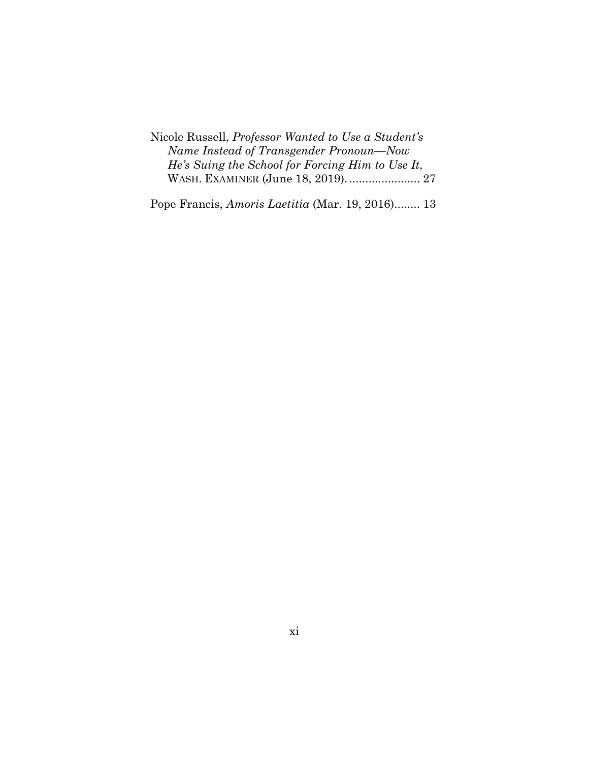Nicole Russell, *Professor Wanted to Use a Student's Name Instead of Transgender Pronoun—Now He's Suing the School for Forcing Him to Use It*, WASH. EXAMINER (June 18, 2019). ...................... 27

Pope Francis, *Amoris Laetitia* (Mar. 19, 2016). ....... 13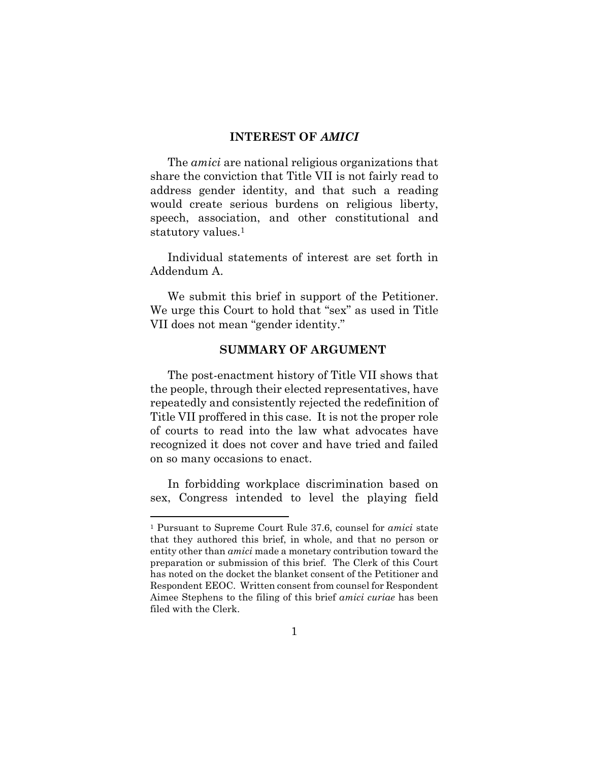## **INTEREST OF** *AMICI*

The *amici* are national religious organizations that share the conviction that Title VII is not fairly read to address gender identity, and that such a reading would create serious burdens on religious liberty, speech, association, and other constitutional and statutory values.<sup>1</sup>

Individual statements of interest are set forth in Addendum A.

We submit this brief in support of the Petitioner. We urge this Court to hold that "sex" as used in Title VII does not mean "gender identity."

## **SUMMARY OF ARGUMENT**

The post-enactment history of Title VII shows that the people, through their elected representatives, have repeatedly and consistently rejected the redefinition of Title VII proffered in this case. It is not the proper role of courts to read into the law what advocates have recognized it does not cover and have tried and failed on so many occasions to enact.

In forbidding workplace discrimination based on sex, Congress intended to level the playing field

<sup>1</sup> Pursuant to Supreme Court Rule 37.6, counsel for *amici* state that they authored this brief, in whole, and that no person or entity other than *amici* made a monetary contribution toward the preparation or submission of this brief. The Clerk of this Court has noted on the docket the blanket consent of the Petitioner and Respondent EEOC. Written consent from counsel for Respondent Aimee Stephens to the filing of this brief *amici curiae* has been filed with the Clerk.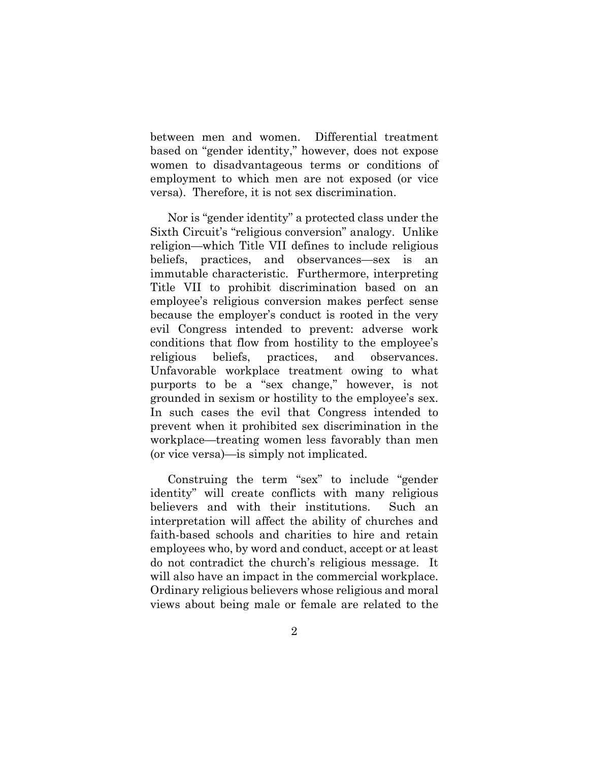between men and women. Differential treatment based on "gender identity," however, does not expose women to disadvantageous terms or conditions of employment to which men are not exposed (or vice versa). Therefore, it is not sex discrimination.

Nor is "gender identity" a protected class under the Sixth Circuit's "religious conversion" analogy. Unlike religion—which Title VII defines to include religious beliefs, practices, and observances—sex is an immutable characteristic. Furthermore, interpreting Title VII to prohibit discrimination based on an employee's religious conversion makes perfect sense because the employer's conduct is rooted in the very evil Congress intended to prevent: adverse work conditions that flow from hostility to the employee's religious beliefs, practices, and observances. Unfavorable workplace treatment owing to what purports to be a "sex change," however, is not grounded in sexism or hostility to the employee's sex. In such cases the evil that Congress intended to prevent when it prohibited sex discrimination in the workplace—treating women less favorably than men (or vice versa)—is simply not implicated.

Construing the term "sex" to include "gender identity" will create conflicts with many religious believers and with their institutions. Such an interpretation will affect the ability of churches and faith-based schools and charities to hire and retain employees who, by word and conduct, accept or at least do not contradict the church's religious message. It will also have an impact in the commercial workplace. Ordinary religious believers whose religious and moral views about being male or female are related to the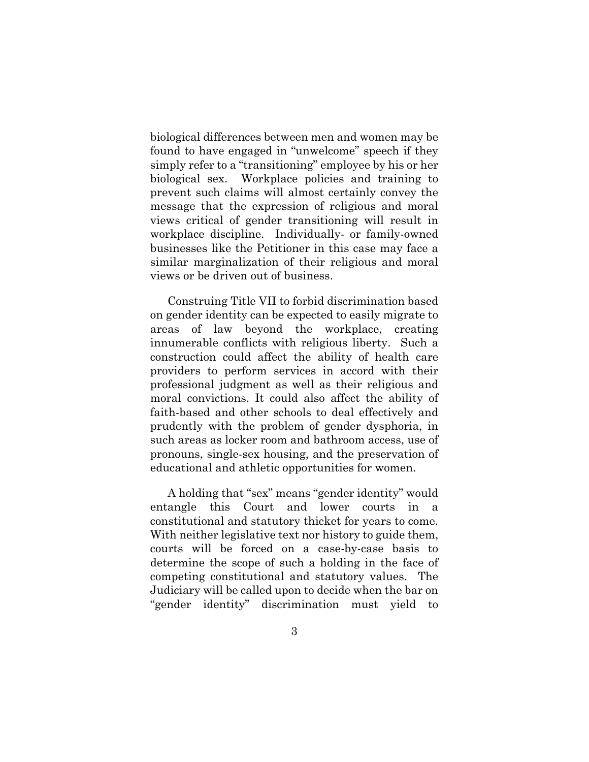biological differences between men and women may be found to have engaged in "unwelcome" speech if they simply refer to a "transitioning" employee by his or her biological sex. Workplace policies and training to prevent such claims will almost certainly convey the message that the expression of religious and moral views critical of gender transitioning will result in workplace discipline. Individually- or family-owned businesses like the Petitioner in this case may face a similar marginalization of their religious and moral views or be driven out of business.

Construing Title VII to forbid discrimination based on gender identity can be expected to easily migrate to areas of law beyond the workplace, creating innumerable conflicts with religious liberty. Such a construction could affect the ability of health care providers to perform services in accord with their professional judgment as well as their religious and moral convictions. It could also affect the ability of faith-based and other schools to deal effectively and prudently with the problem of gender dysphoria, in such areas as locker room and bathroom access, use of pronouns, single-sex housing, and the preservation of educational and athletic opportunities for women.

A holding that "sex" means "gender identity" would entangle this Court and lower courts in a constitutional and statutory thicket for years to come. With neither legislative text nor history to guide them, courts will be forced on a case-by-case basis to determine the scope of such a holding in the face of competing constitutional and statutory values. The Judiciary will be called upon to decide when the bar on "gender identity" discrimination must yield to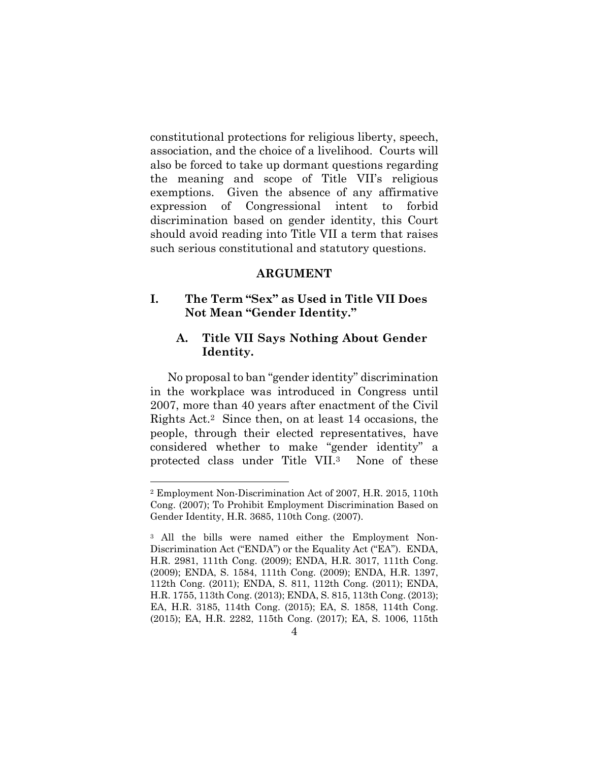constitutional protections for religious liberty, speech, association, and the choice of a livelihood. Courts will also be forced to take up dormant questions regarding the meaning and scope of Title VII's religious exemptions. Given the absence of any affirmative expression of Congressional intent to forbid discrimination based on gender identity, this Court should avoid reading into Title VII a term that raises such serious constitutional and statutory questions.

#### **ARGUMENT**

# **I. The Term "Sex" as Used in Title VII Does Not Mean "Gender Identity."**

# **A. Title VII Says Nothing About Gender Identity.**

No proposal to ban "gender identity" discrimination in the workplace was introduced in Congress until 2007, more than 40 years after enactment of the Civil Rights Act.2 Since then, on at least 14 occasions, the people, through their elected representatives, have considered whether to make "gender identity" a protected class under Title VII.3 None of these

<sup>2</sup> Employment Non-Discrimination Act of 2007, H.R. 2015, 110th Cong. (2007); To Prohibit Employment Discrimination Based on Gender Identity, H.R. 3685, 110th Cong. (2007).

<sup>3</sup> All the bills were named either the Employment Non-Discrimination Act ("ENDA") or the Equality Act ("EA"). ENDA, H.R. 2981, 111th Cong. (2009); ENDA, H.R. 3017, 111th Cong. (2009); ENDA, S. 1584, 111th Cong. (2009); ENDA, H.R. 1397, 112th Cong. (2011); ENDA, S. 811, 112th Cong. (2011); ENDA, H.R. 1755, 113th Cong. (2013); ENDA, S. 815, 113th Cong. (2013); EA, H.R. 3185, 114th Cong. (2015); EA, S. 1858, 114th Cong. (2015); EA, H.R. 2282, 115th Cong. (2017); EA, S. 1006, 115th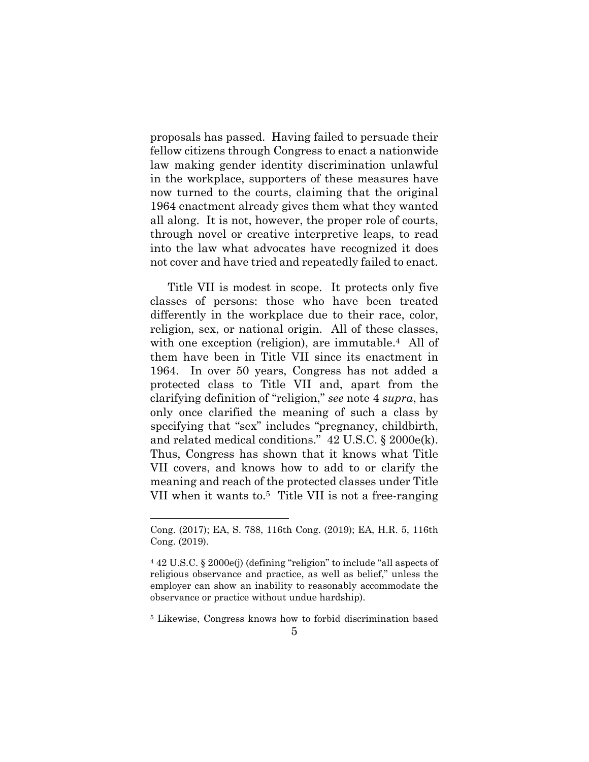proposals has passed. Having failed to persuade their fellow citizens through Congress to enact a nationwide law making gender identity discrimination unlawful in the workplace, supporters of these measures have now turned to the courts, claiming that the original 1964 enactment already gives them what they wanted all along. It is not, however, the proper role of courts, through novel or creative interpretive leaps, to read into the law what advocates have recognized it does not cover and have tried and repeatedly failed to enact.

Title VII is modest in scope. It protects only five classes of persons: those who have been treated differently in the workplace due to their race, color, religion, sex, or national origin. All of these classes, with one exception (religion), are immutable.<sup>4</sup> All of them have been in Title VII since its enactment in 1964. In over 50 years, Congress has not added a protected class to Title VII and, apart from the clarifying definition of "religion," *see* note 4 *supra*, has only once clarified the meaning of such a class by specifying that "sex" includes "pregnancy, childbirth, and related medical conditions." 42 U.S.C. § 2000e(k). Thus, Congress has shown that it knows what Title VII covers, and knows how to add to or clarify the meaning and reach of the protected classes under Title VII when it wants to.5 Title VII is not a free-ranging

Cong. (2017); EA, S. 788, 116th Cong. (2019); EA, H.R. 5, 116th Cong. (2019).

<sup>4 42</sup> U.S.C. § 2000e(j) (defining "religion" to include "all aspects of religious observance and practice, as well as belief," unless the employer can show an inability to reasonably accommodate the observance or practice without undue hardship).

<sup>5</sup> Likewise, Congress knows how to forbid discrimination based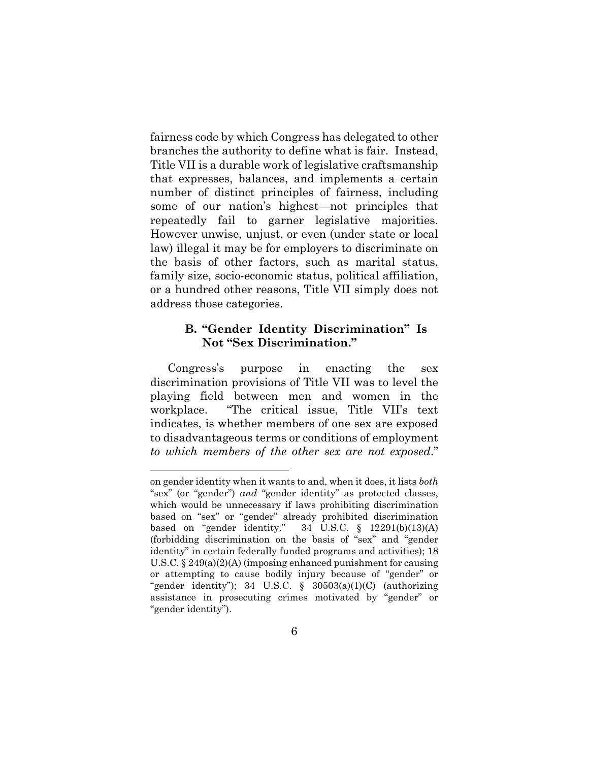fairness code by which Congress has delegated to other branches the authority to define what is fair. Instead, Title VII is a durable work of legislative craftsmanship that expresses, balances, and implements a certain number of distinct principles of fairness, including some of our nation's highest—not principles that repeatedly fail to garner legislative majorities. However unwise, unjust, or even (under state or local law) illegal it may be for employers to discriminate on the basis of other factors, such as marital status, family size, socio-economic status, political affiliation, or a hundred other reasons, Title VII simply does not address those categories.

# **B. "Gender Identity Discrimination" Is Not "Sex Discrimination."**

Congress's purpose in enacting the sex discrimination provisions of Title VII was to level the playing field between men and women in the workplace. "The critical issue, Title VII's text indicates, is whether members of one sex are exposed to disadvantageous terms or conditions of employment *to which members of the other sex are not exposed*."

on gender identity when it wants to and, when it does, it lists *both* "sex" (or "gender") *and* "gender identity" as protected classes, which would be unnecessary if laws prohibiting discrimination based on "sex" or "gender" already prohibited discrimination based on "gender identity."  $34 \text{ U.S.C.}$  §  $12291(b)(13)(A)$ (forbidding discrimination on the basis of "sex" and "gender identity" in certain federally funded programs and activities); 18 U.S.C. § 249(a)(2)(A) (imposing enhanced punishment for causing or attempting to cause bodily injury because of "gender" or "gender identity"); 34 U.S.C.  $\S$  30503(a)(1)(C) (authorizing assistance in prosecuting crimes motivated by "gender" or "gender identity").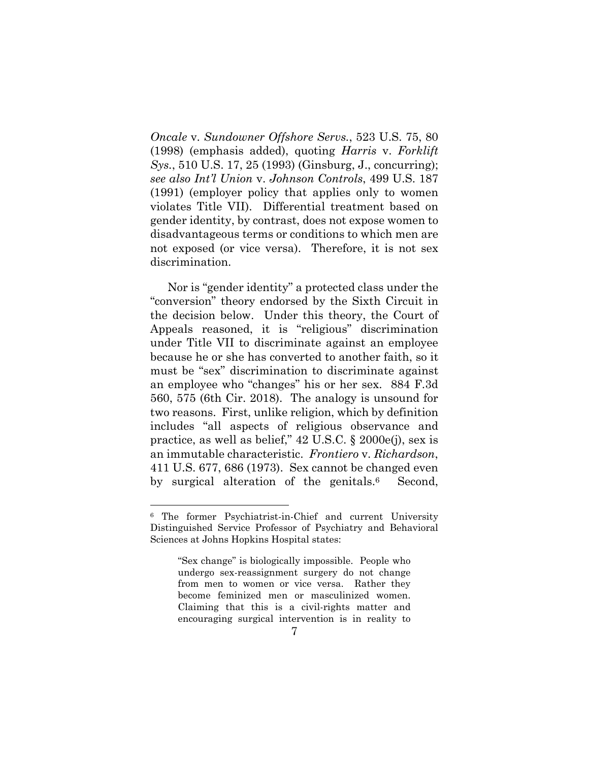*Oncale* v. *Sundowner Offshore Servs.*, 523 U.S. 75, 80 (1998) (emphasis added), quoting *Harris* v. *Forklift Sys.*, 510 U.S. 17, 25 (1993) (Ginsburg, J., concurring); *see also Int'l Union* v. *Johnson Controls*, 499 U.S. 187 (1991) (employer policy that applies only to women violates Title VII). Differential treatment based on gender identity, by contrast, does not expose women to disadvantageous terms or conditions to which men are not exposed (or vice versa). Therefore, it is not sex discrimination.

Nor is "gender identity" a protected class under the "conversion" theory endorsed by the Sixth Circuit in the decision below. Under this theory, the Court of Appeals reasoned, it is "religious" discrimination under Title VII to discriminate against an employee because he or she has converted to another faith, so it must be "sex" discrimination to discriminate against an employee who "changes" his or her sex. 884 F.3d 560, 575 (6th Cir. 2018). The analogy is unsound for two reasons. First, unlike religion, which by definition includes "all aspects of religious observance and practice, as well as belief," 42 U.S.C. § 2000e(j), sex is an immutable characteristic. *Frontiero* v. *Richardson*, 411 U.S. 677, 686 (1973). Sex cannot be changed even by surgical alteration of the genitals.6 Second,

<sup>6</sup> The former Psychiatrist-in-Chief and current University Distinguished Service Professor of Psychiatry and Behavioral Sciences at Johns Hopkins Hospital states:

<sup>&</sup>quot;Sex change" is biologically impossible. People who undergo sex-reassignment surgery do not change from men to women or vice versa. Rather they become feminized men or masculinized women. Claiming that this is a civil-rights matter and encouraging surgical intervention is in reality to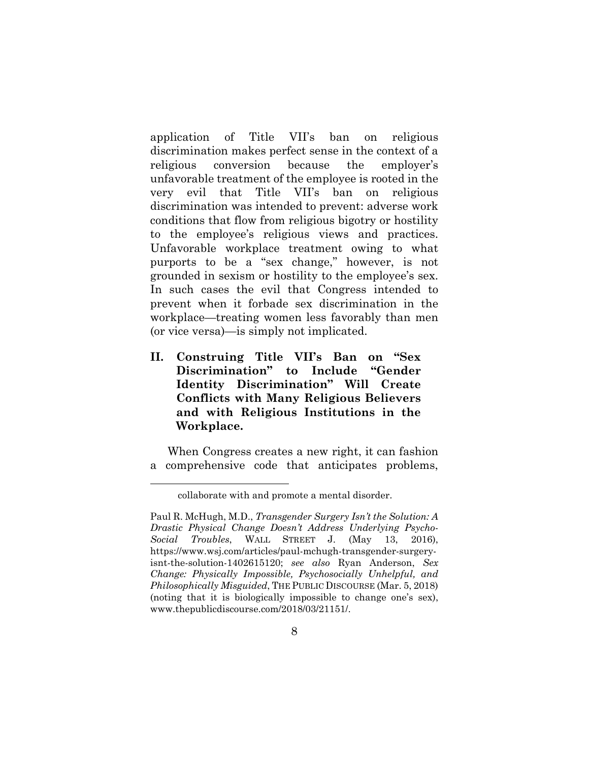application of Title VII's ban on religious discrimination makes perfect sense in the context of a religious conversion because the employer's unfavorable treatment of the employee is rooted in the very evil that Title VII's ban on religious discrimination was intended to prevent: adverse work conditions that flow from religious bigotry or hostility to the employee's religious views and practices. Unfavorable workplace treatment owing to what purports to be a "sex change," however, is not grounded in sexism or hostility to the employee's sex. In such cases the evil that Congress intended to prevent when it forbade sex discrimination in the workplace—treating women less favorably than men (or vice versa)—is simply not implicated.

**II. Construing Title VII's Ban on "Sex Discrimination" to Include "Gender Identity Discrimination" Will Create Conflicts with Many Religious Believers and with Religious Institutions in the Workplace.** 

When Congress creates a new right, it can fashion a comprehensive code that anticipates problems,

collaborate with and promote a mental disorder.

Paul R. McHugh, M.D., *Transgender Surgery Isn't the Solution: A Drastic Physical Change Doesn't Address Underlying Psycho-Social Troubles*, WALL STREET J. (May 13, 2016), https://www.wsj.com/articles/paul-mchugh-transgender-surgeryisnt-the-solution-1402615120; *see also* Ryan Anderson, *Sex Change: Physically Impossible, Psychosocially Unhelpful, and Philosophically Misguided*, THE PUBLIC DISCOURSE (Mar. 5, 2018) (noting that it is biologically impossible to change one's sex), www.thepublicdiscourse.com/2018/03/21151/.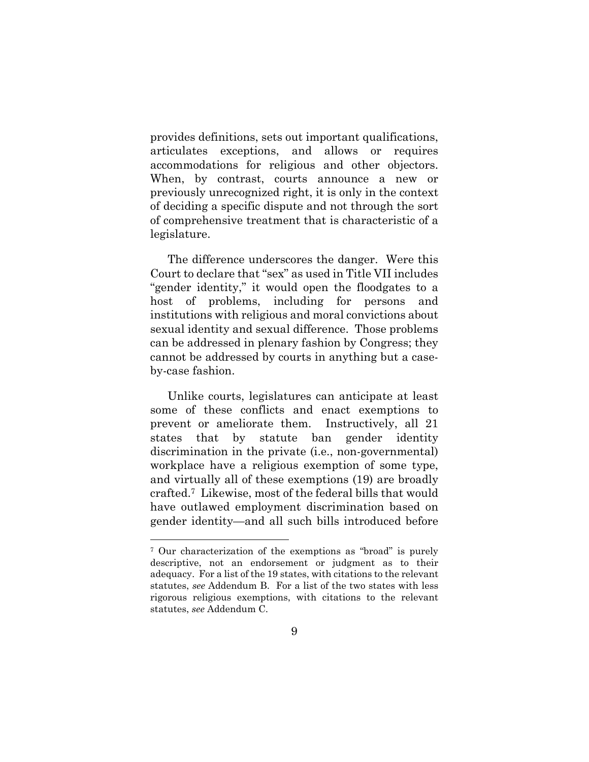provides definitions, sets out important qualifications, articulates exceptions, and allows or requires accommodations for religious and other objectors. When, by contrast, courts announce a new or previously unrecognized right, it is only in the context of deciding a specific dispute and not through the sort of comprehensive treatment that is characteristic of a legislature.

The difference underscores the danger. Were this Court to declare that "sex" as used in Title VII includes "gender identity," it would open the floodgates to a host of problems, including for persons and institutions with religious and moral convictions about sexual identity and sexual difference. Those problems can be addressed in plenary fashion by Congress; they cannot be addressed by courts in anything but a caseby-case fashion.

Unlike courts, legislatures can anticipate at least some of these conflicts and enact exemptions to prevent or ameliorate them. Instructively, all 21 states that by statute ban gender identity discrimination in the private (i.e., non-governmental) workplace have a religious exemption of some type, and virtually all of these exemptions (19) are broadly crafted.7 Likewise, most of the federal bills that would have outlawed employment discrimination based on gender identity—and all such bills introduced before

<sup>7</sup> Our characterization of the exemptions as "broad" is purely descriptive, not an endorsement or judgment as to their adequacy. For a list of the 19 states, with citations to the relevant statutes, *see* Addendum B. For a list of the two states with less rigorous religious exemptions, with citations to the relevant statutes, *see* Addendum C.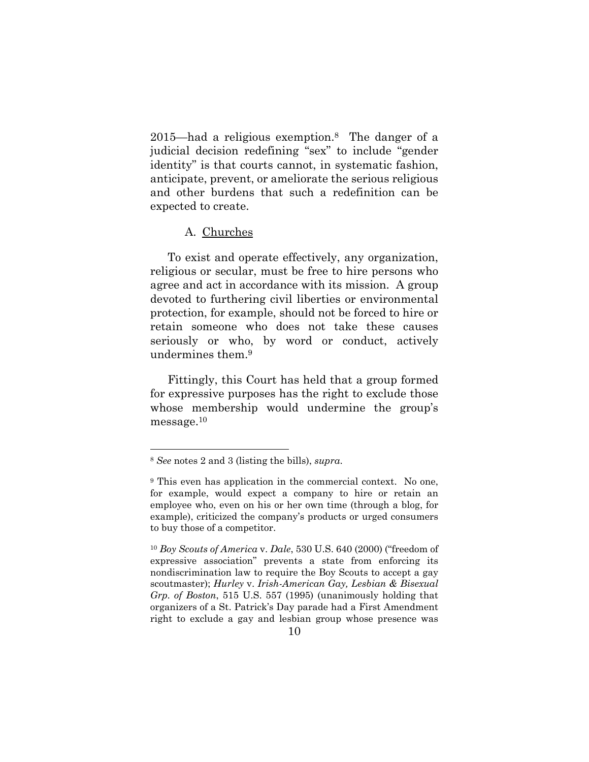2015—had a religious exemption.8 The danger of a judicial decision redefining "sex" to include "gender identity" is that courts cannot, in systematic fashion, anticipate, prevent, or ameliorate the serious religious and other burdens that such a redefinition can be expected to create.

#### A. Churches

To exist and operate effectively, any organization, religious or secular, must be free to hire persons who agree and act in accordance with its mission. A group devoted to furthering civil liberties or environmental protection, for example, should not be forced to hire or retain someone who does not take these causes seriously or who, by word or conduct, actively undermines them.9

Fittingly, this Court has held that a group formed for expressive purposes has the right to exclude those whose membership would undermine the group's message.10

<sup>8</sup> *See* notes 2 and 3 (listing the bills), *supra*.

<sup>9</sup> This even has application in the commercial context. No one, for example, would expect a company to hire or retain an employee who, even on his or her own time (through a blog, for example), criticized the company's products or urged consumers to buy those of a competitor.

<sup>10</sup> *Boy Scouts of America* v. *Dale*, 530 U.S. 640 (2000) ("freedom of expressive association" prevents a state from enforcing its nondiscrimination law to require the Boy Scouts to accept a gay scoutmaster); *Hurley* v. *Irish-American Gay, Lesbian & Bisexual Grp. of Boston*, 515 U.S. 557 (1995) (unanimously holding that organizers of a St. Patrick's Day parade had a First Amendment right to exclude a gay and lesbian group whose presence was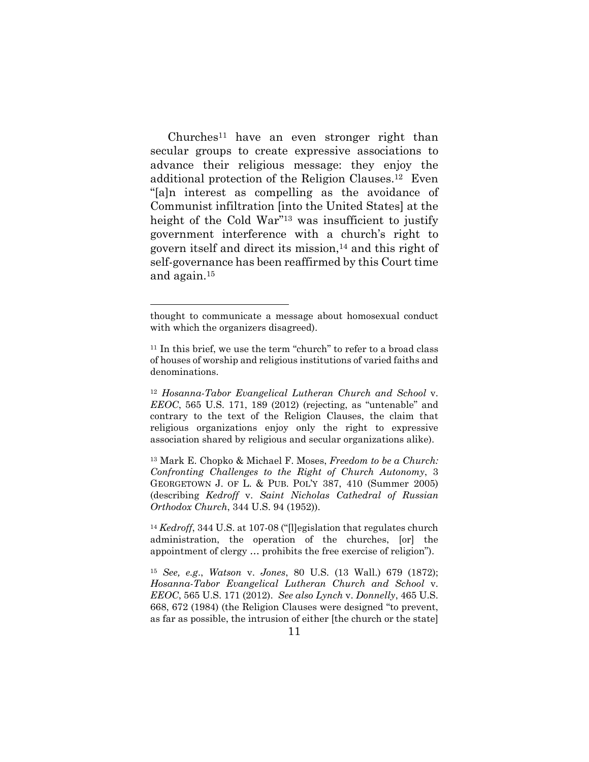Churches11 have an even stronger right than secular groups to create expressive associations to advance their religious message: they enjoy the additional protection of the Religion Clauses.12 Even "[a]n interest as compelling as the avoidance of Communist infiltration [into the United States] at the height of the Cold War"<sup>13</sup> was insufficient to justify government interference with a church's right to govern itself and direct its mission,14 and this right of self-governance has been reaffirmed by this Court time and again.15

thought to communicate a message about homosexual conduct with which the organizers disagreed).

<sup>&</sup>lt;sup>11</sup> In this brief, we use the term "church" to refer to a broad class of houses of worship and religious institutions of varied faiths and denominations.

<sup>12</sup> *Hosanna-Tabor Evangelical Lutheran Church and School* v. *EEOC*, 565 U.S. 171, 189 (2012) (rejecting, as "untenable" and contrary to the text of the Religion Clauses, the claim that religious organizations enjoy only the right to expressive association shared by religious and secular organizations alike).

<sup>13</sup> Mark E. Chopko & Michael F. Moses, *Freedom to be a Church: Confronting Challenges to the Right of Church Autonomy*, 3 GEORGETOWN J. OF L. & PUB. POL'Y 387, 410 (Summer 2005) (describing *Kedroff* v. *Saint Nicholas Cathedral of Russian Orthodox Church*, 344 U.S. 94 (1952)).

<sup>&</sup>lt;sup>14</sup> *Kedroff*, 344 U.S. at 107-08 ("Illegislation that regulates church") administration, the operation of the churches, [or] the appointment of clergy … prohibits the free exercise of religion").

<sup>15</sup> *See, e.g*., *Watson* v. *Jones*, 80 U.S. (13 Wall.) 679 (1872); *Hosanna-Tabor Evangelical Lutheran Church and School* v. *EEOC*, 565 U.S. 171 (2012). *See also Lynch* v. *Donnelly*, 465 U.S. 668, 672 (1984) (the Religion Clauses were designed "to prevent, as far as possible, the intrusion of either [the church or the state]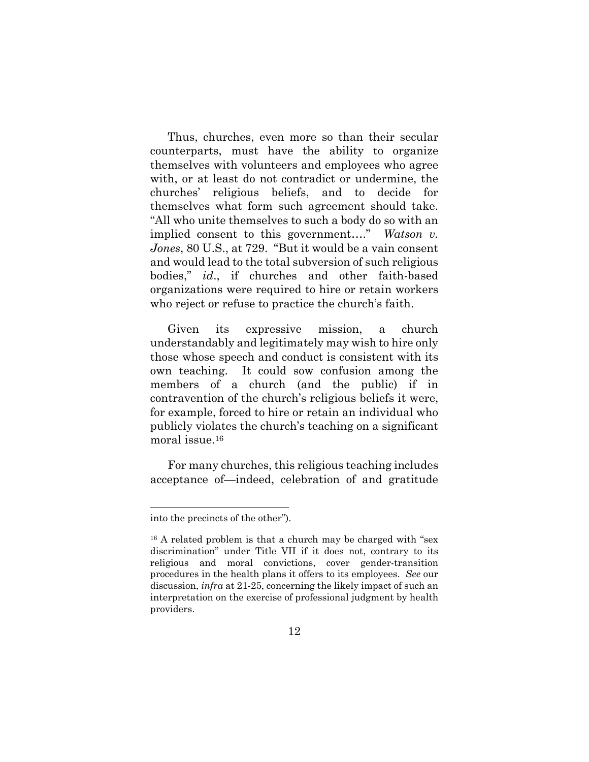Thus, churches, even more so than their secular counterparts, must have the ability to organize themselves with volunteers and employees who agree with, or at least do not contradict or undermine, the churches' religious beliefs, and to decide for themselves what form such agreement should take. "All who unite themselves to such a body do so with an implied consent to this government…." *Watson v. Jones*, 80 U.S., at 729. "But it would be a vain consent and would lead to the total subversion of such religious bodies," *id*., if churches and other faith-based organizations were required to hire or retain workers who reject or refuse to practice the church's faith.

Given its expressive mission, a church understandably and legitimately may wish to hire only those whose speech and conduct is consistent with its own teaching. It could sow confusion among the members of a church (and the public) if in contravention of the church's religious beliefs it were, for example, forced to hire or retain an individual who publicly violates the church's teaching on a significant moral issue.16

For many churches, this religious teaching includes acceptance of—indeed, celebration of and gratitude

into the precincts of the other").

<sup>&</sup>lt;sup>16</sup> A related problem is that a church may be charged with "sex discrimination" under Title VII if it does not, contrary to its religious and moral convictions, cover gender-transition procedures in the health plans it offers to its employees. *See* our discussion, *infra* at 21-25, concerning the likely impact of such an interpretation on the exercise of professional judgment by health providers.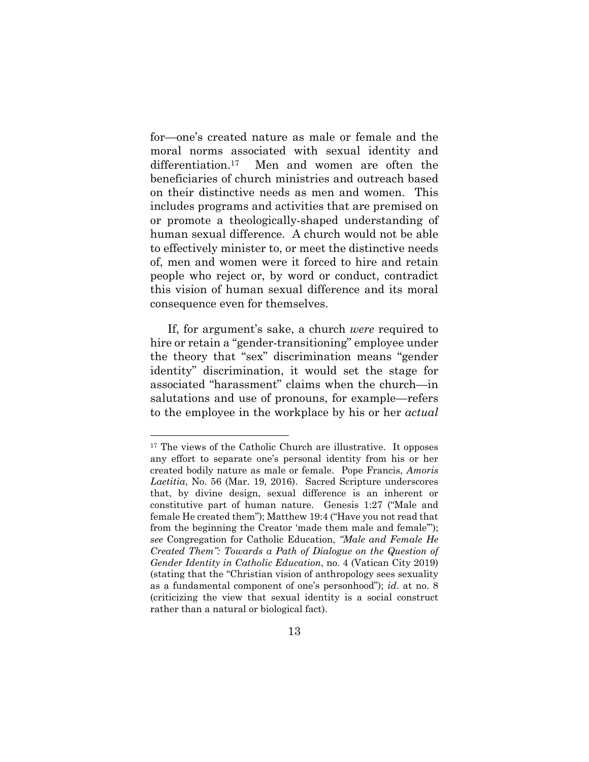for—one's created nature as male or female and the moral norms associated with sexual identity and differentiation.<sup>17</sup> Men and women are often the beneficiaries of church ministries and outreach based on their distinctive needs as men and women. This includes programs and activities that are premised on or promote a theologically-shaped understanding of human sexual difference. A church would not be able to effectively minister to, or meet the distinctive needs of, men and women were it forced to hire and retain people who reject or, by word or conduct, contradict this vision of human sexual difference and its moral consequence even for themselves.

If, for argument's sake, a church *were* required to hire or retain a "gender-transitioning" employee under the theory that "sex" discrimination means "gender identity" discrimination, it would set the stage for associated "harassment" claims when the church—in salutations and use of pronouns, for example—refers to the employee in the workplace by his or her *actual*

<sup>17</sup> The views of the Catholic Church are illustrative. It opposes any effort to separate one's personal identity from his or her created bodily nature as male or female. Pope Francis, *Amoris Laetitia*, No. 56 (Mar. 19, 2016). Sacred Scripture underscores that, by divine design, sexual difference is an inherent or constitutive part of human nature. Genesis 1:27 ("Male and female He created them"); Matthew 19:4 ("Have you not read that from the beginning the Creator 'made them male and female'"); *see* Congregation for Catholic Education, *"Male and Female He Created Them": Towards a Path of Dialogue on the Question of Gender Identity in Catholic Education*, no. 4 (Vatican City 2019) (stating that the "Christian vision of anthropology sees sexuality as a fundamental component of one's personhood"); *id*. at no. 8 (criticizing the view that sexual identity is a social construct rather than a natural or biological fact).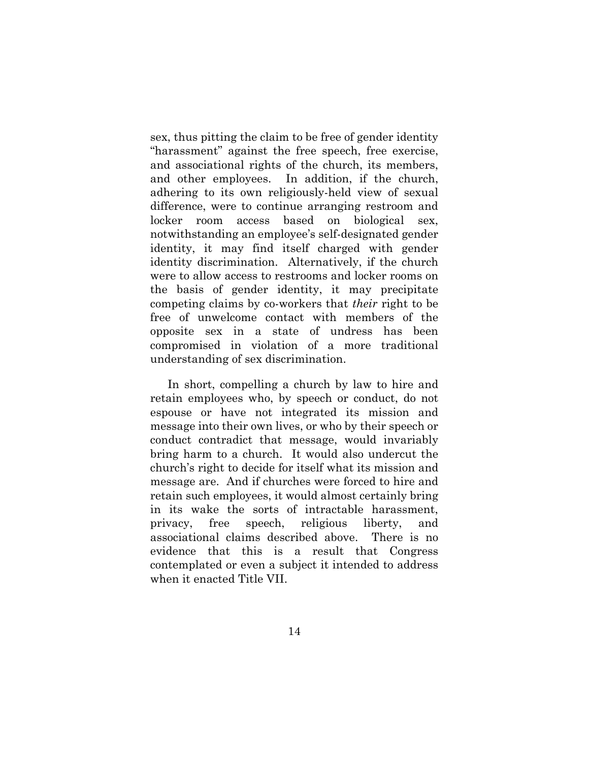sex, thus pitting the claim to be free of gender identity "harassment" against the free speech, free exercise, and associational rights of the church, its members, and other employees. In addition, if the church, adhering to its own religiously-held view of sexual difference, were to continue arranging restroom and locker room access based on biological sex, notwithstanding an employee's self-designated gender identity, it may find itself charged with gender identity discrimination. Alternatively, if the church were to allow access to restrooms and locker rooms on the basis of gender identity, it may precipitate competing claims by co-workers that *their* right to be free of unwelcome contact with members of the opposite sex in a state of undress has been compromised in violation of a more traditional understanding of sex discrimination.

In short, compelling a church by law to hire and retain employees who, by speech or conduct, do not espouse or have not integrated its mission and message into their own lives, or who by their speech or conduct contradict that message, would invariably bring harm to a church. It would also undercut the church's right to decide for itself what its mission and message are. And if churches were forced to hire and retain such employees, it would almost certainly bring in its wake the sorts of intractable harassment, privacy, free speech, religious liberty, and associational claims described above. There is no evidence that this is a result that Congress contemplated or even a subject it intended to address when it enacted Title VII.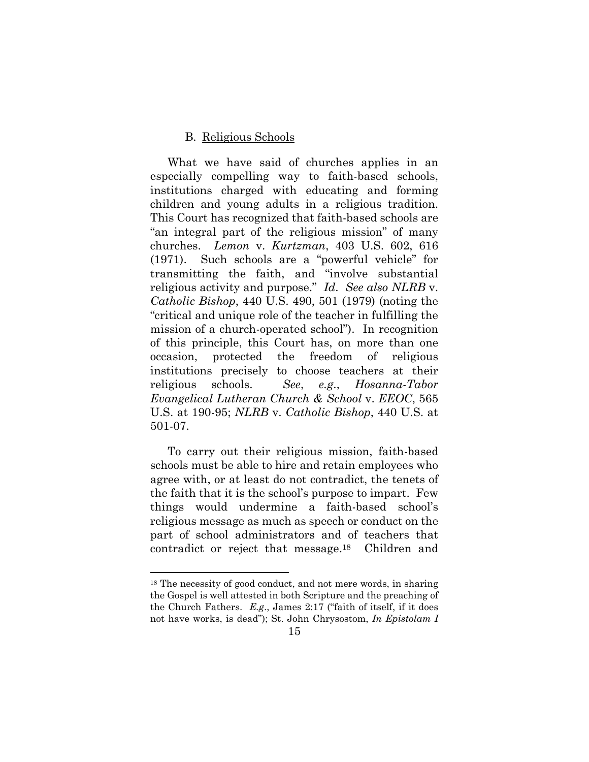#### B. Religious Schools

What we have said of churches applies in an especially compelling way to faith-based schools, institutions charged with educating and forming children and young adults in a religious tradition. This Court has recognized that faith-based schools are "an integral part of the religious mission" of many churches. *Lemon* v. *Kurtzman*, 403 U.S. 602, 616 (1971). Such schools are a "powerful vehicle" for transmitting the faith, and "involve substantial religious activity and purpose." *Id*. *See also NLRB* v. *Catholic Bishop*, 440 U.S. 490, 501 (1979) (noting the "critical and unique role of the teacher in fulfilling the mission of a church-operated school"). In recognition of this principle, this Court has, on more than one occasion, protected the freedom of religious institutions precisely to choose teachers at their religious schools. *See*, *e.g*., *Hosanna-Tabor Evangelical Lutheran Church & School* v. *EEOC*, 565 U.S. at 190-95; *NLRB* v. *Catholic Bishop*, 440 U.S. at 501-07.

To carry out their religious mission, faith-based schools must be able to hire and retain employees who agree with, or at least do not contradict, the tenets of the faith that it is the school's purpose to impart. Few things would undermine a faith-based school's religious message as much as speech or conduct on the part of school administrators and of teachers that contradict or reject that message.18 Children and

<sup>18</sup> The necessity of good conduct, and not mere words, in sharing the Gospel is well attested in both Scripture and the preaching of the Church Fathers. *E.g*., James 2:17 ("faith of itself, if it does not have works, is dead"); St. John Chrysostom, *In Epistolam I*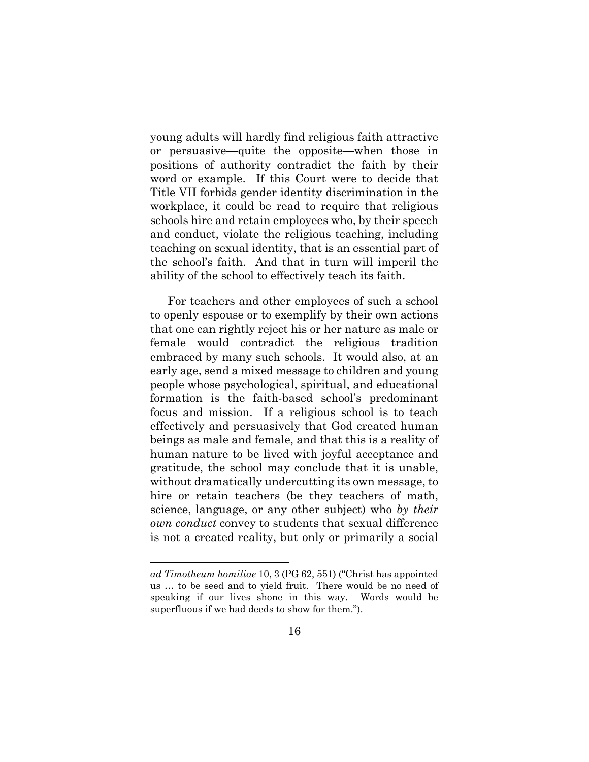young adults will hardly find religious faith attractive or persuasive—quite the opposite—when those in positions of authority contradict the faith by their word or example. If this Court were to decide that Title VII forbids gender identity discrimination in the workplace, it could be read to require that religious schools hire and retain employees who, by their speech and conduct, violate the religious teaching, including teaching on sexual identity, that is an essential part of the school's faith. And that in turn will imperil the ability of the school to effectively teach its faith.

For teachers and other employees of such a school to openly espouse or to exemplify by their own actions that one can rightly reject his or her nature as male or female would contradict the religious tradition embraced by many such schools. It would also, at an early age, send a mixed message to children and young people whose psychological, spiritual, and educational formation is the faith-based school's predominant focus and mission. If a religious school is to teach effectively and persuasively that God created human beings as male and female, and that this is a reality of human nature to be lived with joyful acceptance and gratitude, the school may conclude that it is unable, without dramatically undercutting its own message, to hire or retain teachers (be they teachers of math, science, language, or any other subject) who *by their own conduct* convey to students that sexual difference is not a created reality, but only or primarily a social

*ad Timotheum homiliae* 10, 3 (PG 62, 551) ("Christ has appointed us … to be seed and to yield fruit. There would be no need of speaking if our lives shone in this way. Words would be superfluous if we had deeds to show for them.").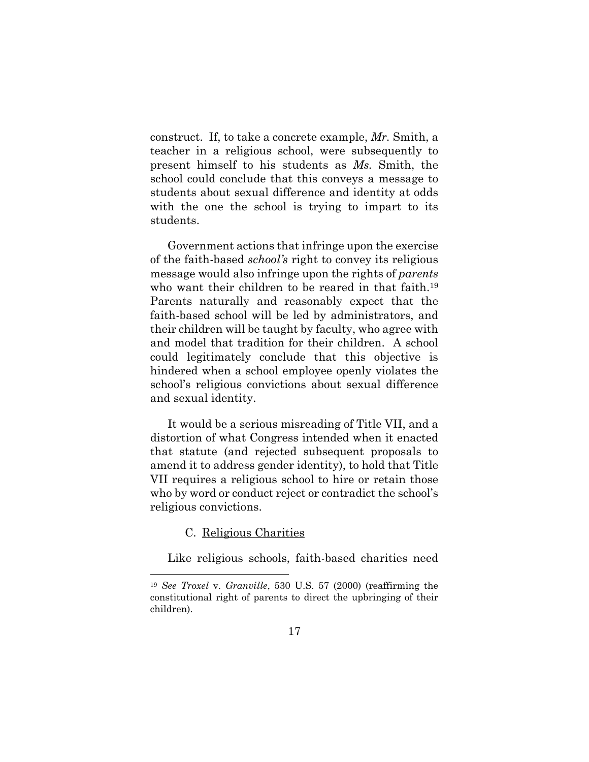construct. If, to take a concrete example, *Mr.* Smith, a teacher in a religious school, were subsequently to present himself to his students as *Ms.* Smith, the school could conclude that this conveys a message to students about sexual difference and identity at odds with the one the school is trying to impart to its students.

Government actions that infringe upon the exercise of the faith-based *school's* right to convey its religious message would also infringe upon the rights of *parents* who want their children to be reared in that faith.<sup>19</sup> Parents naturally and reasonably expect that the faith-based school will be led by administrators, and their children will be taught by faculty, who agree with and model that tradition for their children. A school could legitimately conclude that this objective is hindered when a school employee openly violates the school's religious convictions about sexual difference and sexual identity.

It would be a serious misreading of Title VII, and a distortion of what Congress intended when it enacted that statute (and rejected subsequent proposals to amend it to address gender identity), to hold that Title VII requires a religious school to hire or retain those who by word or conduct reject or contradict the school's religious convictions.

## C. Religious Charities

 $\overline{a}$ 

Like religious schools, faith-based charities need

<sup>19</sup> *See Troxel* v. *Granville*, 530 U.S. 57 (2000) (reaffirming the constitutional right of parents to direct the upbringing of their children).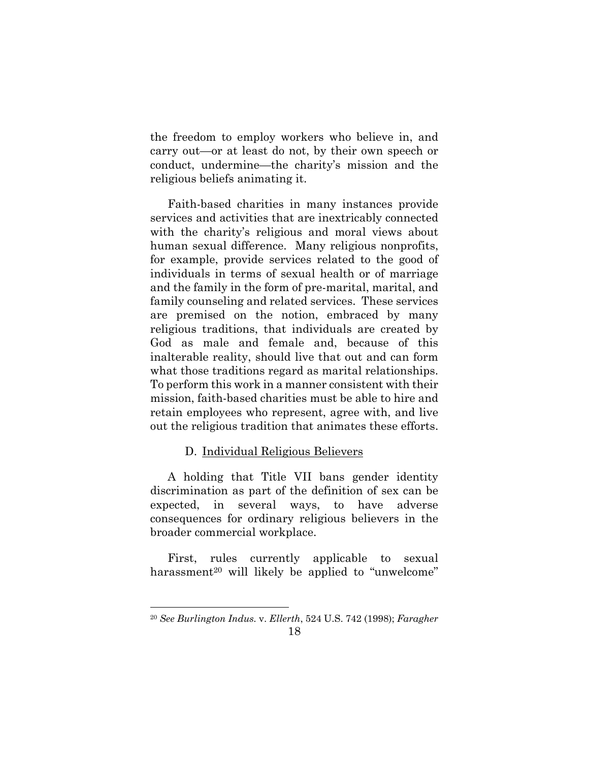the freedom to employ workers who believe in, and carry out—or at least do not, by their own speech or conduct, undermine—the charity's mission and the religious beliefs animating it.

Faith-based charities in many instances provide services and activities that are inextricably connected with the charity's religious and moral views about human sexual difference. Many religious nonprofits, for example, provide services related to the good of individuals in terms of sexual health or of marriage and the family in the form of pre-marital, marital, and family counseling and related services. These services are premised on the notion, embraced by many religious traditions, that individuals are created by God as male and female and, because of this inalterable reality, should live that out and can form what those traditions regard as marital relationships. To perform this work in a manner consistent with their mission, faith-based charities must be able to hire and retain employees who represent, agree with, and live out the religious tradition that animates these efforts.

# D. Individual Religious Believers

A holding that Title VII bans gender identity discrimination as part of the definition of sex can be expected, in several ways, to have adverse consequences for ordinary religious believers in the broader commercial workplace.

First, rules currently applicable to sexual harassment<sup>20</sup> will likely be applied to "unwelcome"

<sup>20</sup> *See Burlington Indus.* v. *Ellerth*, 524 U.S. 742 (1998); *Faragher*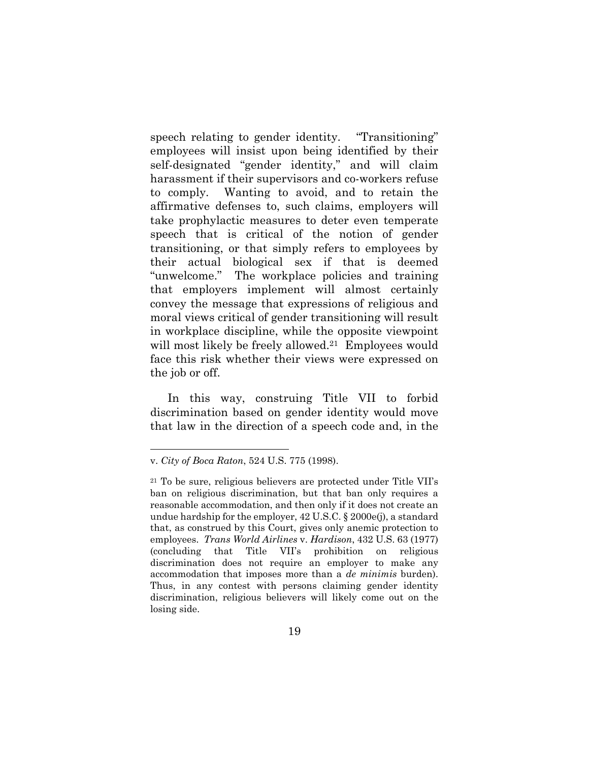speech relating to gender identity. "Transitioning" employees will insist upon being identified by their self-designated "gender identity," and will claim harassment if their supervisors and co-workers refuse to comply. Wanting to avoid, and to retain the affirmative defenses to, such claims, employers will take prophylactic measures to deter even temperate speech that is critical of the notion of gender transitioning, or that simply refers to employees by their actual biological sex if that is deemed "unwelcome." The workplace policies and training that employers implement will almost certainly convey the message that expressions of religious and moral views critical of gender transitioning will result in workplace discipline, while the opposite viewpoint will most likely be freely allowed.<sup>21</sup> Employees would face this risk whether their views were expressed on the job or off.

In this way, construing Title VII to forbid discrimination based on gender identity would move that law in the direction of a speech code and, in the

v. *City of Boca Raton*, 524 U.S. 775 (1998).

<sup>21</sup> To be sure, religious believers are protected under Title VII's ban on religious discrimination, but that ban only requires a reasonable accommodation, and then only if it does not create an undue hardship for the employer, 42 U.S.C. § 2000e(j), a standard that, as construed by this Court, gives only anemic protection to employees. *Trans World Airlines* v. *Hardison*, 432 U.S. 63 (1977) (concluding that Title VII's prohibition on religious discrimination does not require an employer to make any accommodation that imposes more than a *de minimis* burden). Thus, in any contest with persons claiming gender identity discrimination, religious believers will likely come out on the losing side.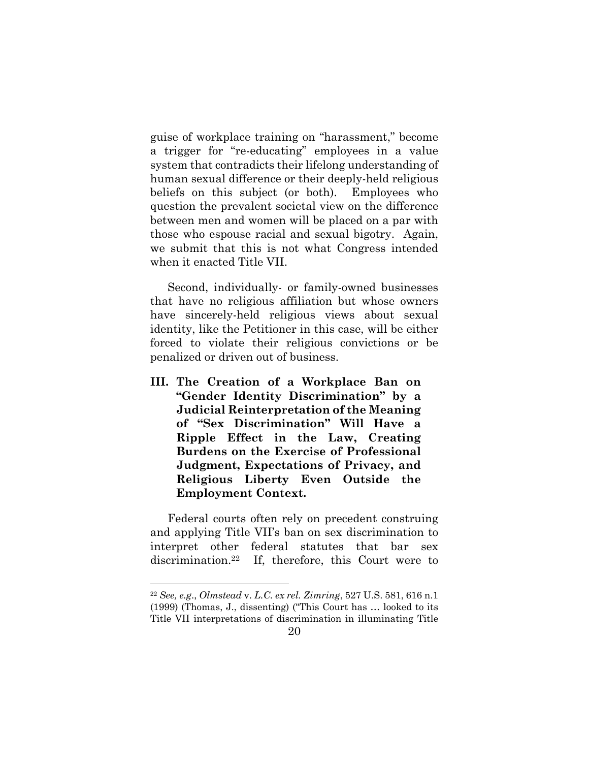guise of workplace training on "harassment," become a trigger for "re-educating" employees in a value system that contradicts their lifelong understanding of human sexual difference or their deeply-held religious beliefs on this subject (or both). Employees who question the prevalent societal view on the difference between men and women will be placed on a par with those who espouse racial and sexual bigotry. Again, we submit that this is not what Congress intended when it enacted Title VII.

Second, individually- or family-owned businesses that have no religious affiliation but whose owners have sincerely-held religious views about sexual identity, like the Petitioner in this case, will be either forced to violate their religious convictions or be penalized or driven out of business.

**III. The Creation of a Workplace Ban on "Gender Identity Discrimination" by a Judicial Reinterpretation of the Meaning of "Sex Discrimination" Will Have a Ripple Effect in the Law, Creating Burdens on the Exercise of Professional Judgment, Expectations of Privacy, and Religious Liberty Even Outside the Employment Context.** 

Federal courts often rely on precedent construing and applying Title VII's ban on sex discrimination to interpret other federal statutes that bar sex discrimination.22 If, therefore, this Court were to

<sup>22</sup> *See, e.g*., *Olmstead* v. *L.C. ex rel. Zimring*, 527 U.S. 581, 616 n.1 (1999) (Thomas, J., dissenting) ("This Court has … looked to its Title VII interpretations of discrimination in illuminating Title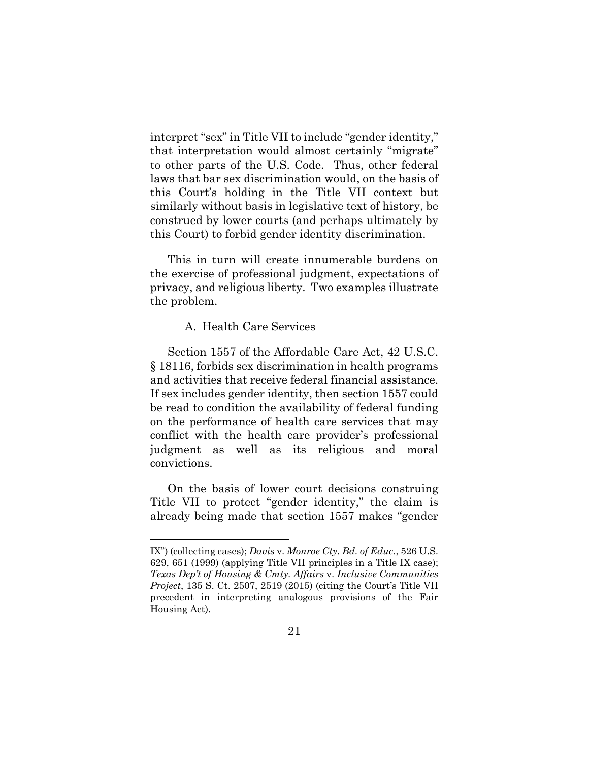interpret "sex" in Title VII to include "gender identity," that interpretation would almost certainly "migrate" to other parts of the U.S. Code. Thus, other federal laws that bar sex discrimination would, on the basis of this Court's holding in the Title VII context but similarly without basis in legislative text of history, be construed by lower courts (and perhaps ultimately by this Court) to forbid gender identity discrimination.

This in turn will create innumerable burdens on the exercise of professional judgment, expectations of privacy, and religious liberty. Two examples illustrate the problem.

#### A. Health Care Services

 $\overline{a}$ 

Section 1557 of the Affordable Care Act, 42 U.S.C. § 18116, forbids sex discrimination in health programs and activities that receive federal financial assistance. If sex includes gender identity, then section 1557 could be read to condition the availability of federal funding on the performance of health care services that may conflict with the health care provider's professional judgment as well as its religious and moral convictions.

On the basis of lower court decisions construing Title VII to protect "gender identity," the claim is already being made that section 1557 makes "gender

IX") (collecting cases); *Davis* v. *Monroe Cty. Bd. of Educ*., 526 U.S. 629, 651 (1999) (applying Title VII principles in a Title IX case); *Texas Dep't of Housing & Cmty. Affairs* v. *Inclusive Communities Project*, 135 S. Ct. 2507, 2519 (2015) (citing the Court's Title VII precedent in interpreting analogous provisions of the Fair Housing Act).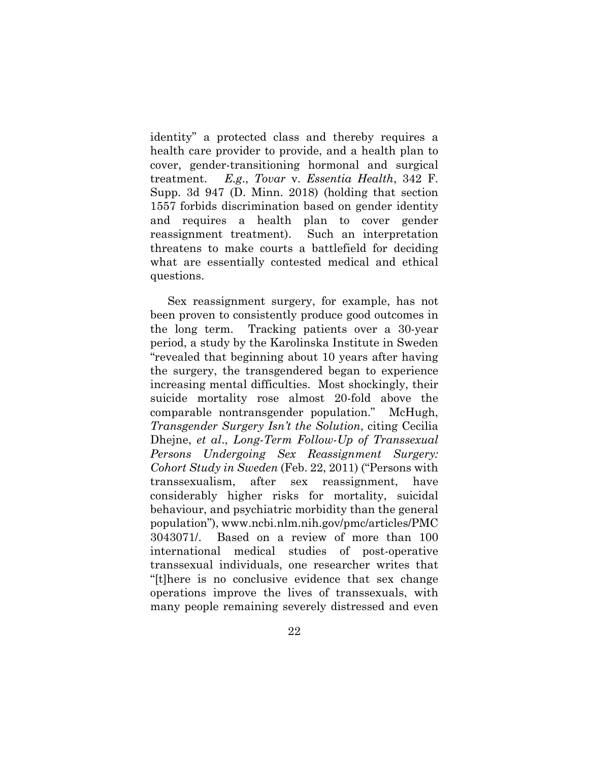identity" a protected class and thereby requires a health care provider to provide, and a health plan to cover, gender-transitioning hormonal and surgical treatment. *E.g*., *Tovar* v. *Essentia Health*, 342 F. Supp. 3d 947 (D. Minn. 2018) (holding that section 1557 forbids discrimination based on gender identity and requires a health plan to cover gender reassignment treatment). Such an interpretation threatens to make courts a battlefield for deciding what are essentially contested medical and ethical questions.

Sex reassignment surgery, for example, has not been proven to consistently produce good outcomes in the long term. Tracking patients over a 30-year period, a study by the Karolinska Institute in Sweden "revealed that beginning about 10 years after having the surgery, the transgendered began to experience increasing mental difficulties. Most shockingly, their suicide mortality rose almost 20-fold above the comparable nontransgender population." McHugh, *Transgender Surgery Isn't the Solution*, citing Cecilia Dhejne, *et al*., *Long-Term Follow-Up of Transsexual Persons Undergoing Sex Reassignment Surgery: Cohort Study in Sweden* (Feb. 22, 2011) ("Persons with transsexualism, after sex reassignment, have considerably higher risks for mortality, suicidal behaviour, and psychiatric morbidity than the general population"), www.ncbi.nlm.nih.gov/pmc/articles/PMC 3043071/. Based on a review of more than 100 international medical studies of post-operative transsexual individuals, one researcher writes that "[t]here is no conclusive evidence that sex change operations improve the lives of transsexuals, with many people remaining severely distressed and even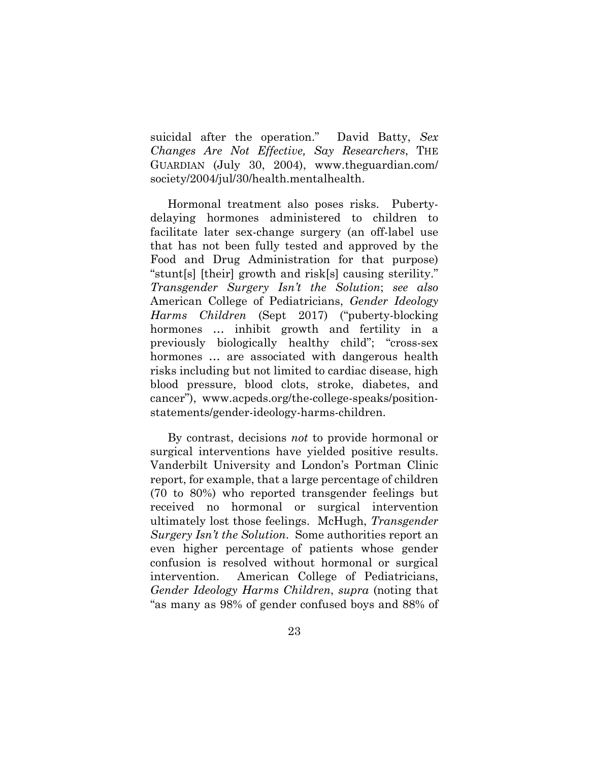suicidal after the operation." David Batty, *Sex Changes Are Not Effective, Say Researchers*, THE GUARDIAN (July 30, 2004), www.theguardian.com/ society/2004/jul/30/health.mentalhealth.

Hormonal treatment also poses risks. Pubertydelaying hormones administered to children to facilitate later sex-change surgery (an off-label use that has not been fully tested and approved by the Food and Drug Administration for that purpose) "stunt[s] [their] growth and risk[s] causing sterility." *Transgender Surgery Isn't the Solution*; *see also* American College of Pediatricians, *Gender Ideology Harms Children* (Sept 2017) ("puberty-blocking hormones ... inhibit growth and fertility in a previously biologically healthy child"; "cross-sex hormones … are associated with dangerous health risks including but not limited to cardiac disease, high blood pressure, blood clots, stroke, diabetes, and cancer"), www.acpeds.org/the-college-speaks/positionstatements/gender-ideology-harms-children.

By contrast, decisions *not* to provide hormonal or surgical interventions have yielded positive results. Vanderbilt University and London's Portman Clinic report, for example, that a large percentage of children (70 to 80%) who reported transgender feelings but received no hormonal or surgical intervention ultimately lost those feelings. McHugh, *Transgender Surgery Isn't the Solution*. Some authorities report an even higher percentage of patients whose gender confusion is resolved without hormonal or surgical intervention. American College of Pediatricians, *Gender Ideology Harms Children*, *supra* (noting that "as many as 98% of gender confused boys and 88% of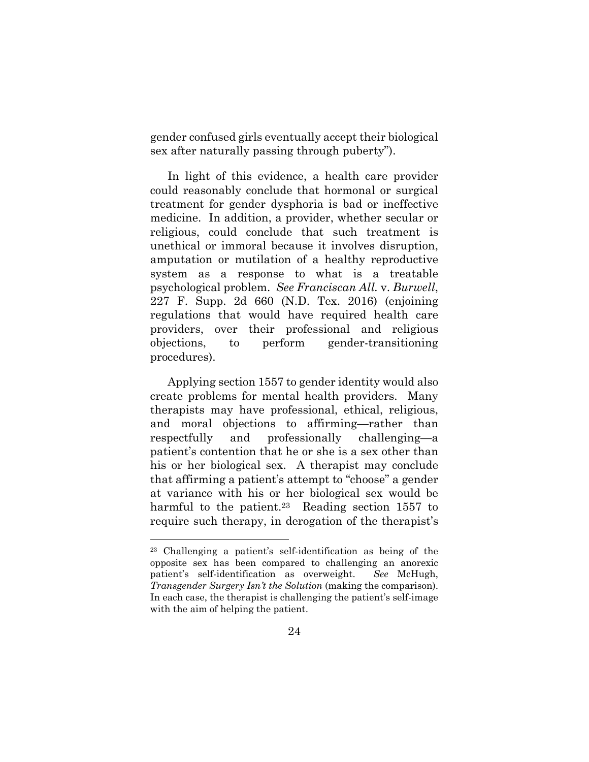gender confused girls eventually accept their biological sex after naturally passing through puberty").

In light of this evidence, a health care provider could reasonably conclude that hormonal or surgical treatment for gender dysphoria is bad or ineffective medicine. In addition, a provider, whether secular or religious, could conclude that such treatment is unethical or immoral because it involves disruption, amputation or mutilation of a healthy reproductive system as a response to what is a treatable psychological problem. *See Franciscan All.* v. *Burwell*, 227 F. Supp. 2d 660 (N.D. Tex. 2016) (enjoining regulations that would have required health care providers, over their professional and religious objections, to perform gender-transitioning procedures).

Applying section 1557 to gender identity would also create problems for mental health providers. Many therapists may have professional, ethical, religious, and moral objections to affirming—rather than respectfully and professionally challenging—a patient's contention that he or she is a sex other than his or her biological sex. A therapist may conclude that affirming a patient's attempt to "choose" a gender at variance with his or her biological sex would be harmful to the patient.<sup>23</sup> Reading section 1557 to require such therapy, in derogation of the therapist's

<sup>23</sup> Challenging a patient's self-identification as being of the opposite sex has been compared to challenging an anorexic patient's self-identification as overweight. *See* McHugh, *Transgender Surgery Isn't the Solution* (making the comparison). In each case, the therapist is challenging the patient's self-image with the aim of helping the patient.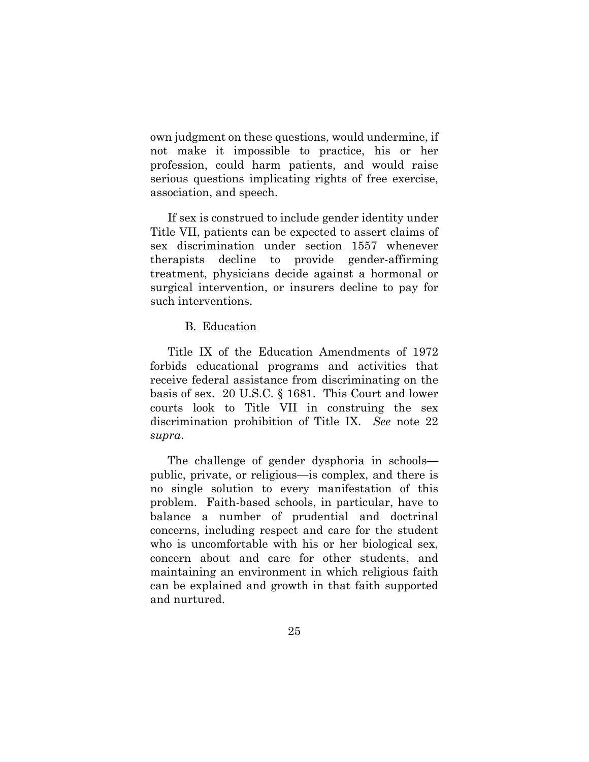own judgment on these questions, would undermine, if not make it impossible to practice, his or her profession, could harm patients, and would raise serious questions implicating rights of free exercise, association, and speech.

If sex is construed to include gender identity under Title VII, patients can be expected to assert claims of sex discrimination under section 1557 whenever therapists decline to provide gender-affirming treatment, physicians decide against a hormonal or surgical intervention, or insurers decline to pay for such interventions.

# B. Education

Title IX of the Education Amendments of 1972 forbids educational programs and activities that receive federal assistance from discriminating on the basis of sex. 20 U.S.C. § 1681. This Court and lower courts look to Title VII in construing the sex discrimination prohibition of Title IX. *See* note 22 *supra*.

The challenge of gender dysphoria in schools public, private, or religious—is complex, and there is no single solution to every manifestation of this problem. Faith-based schools, in particular, have to balance a number of prudential and doctrinal concerns, including respect and care for the student who is uncomfortable with his or her biological sex, concern about and care for other students, and maintaining an environment in which religious faith can be explained and growth in that faith supported and nurtured.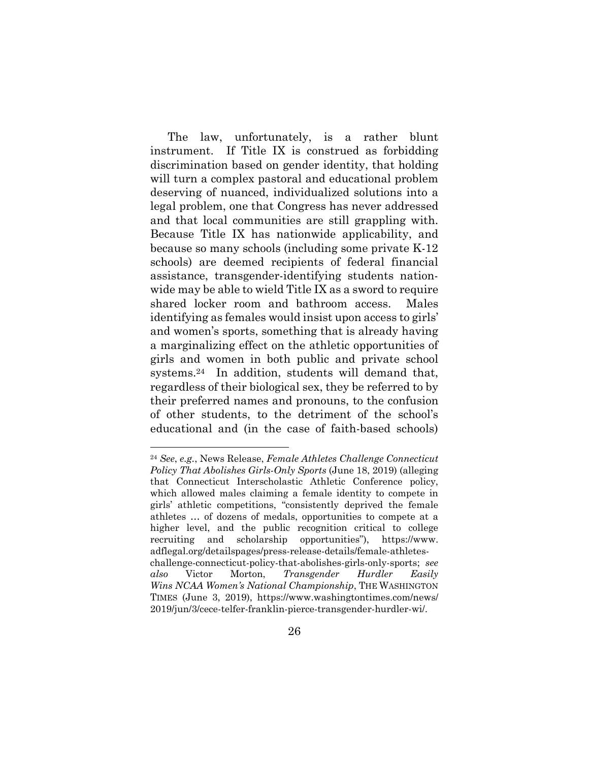The law, unfortunately, is a rather blunt instrument. If Title IX is construed as forbidding discrimination based on gender identity, that holding will turn a complex pastoral and educational problem deserving of nuanced, individualized solutions into a legal problem, one that Congress has never addressed and that local communities are still grappling with. Because Title IX has nationwide applicability, and because so many schools (including some private K-12 schools) are deemed recipients of federal financial assistance, transgender-identifying students nationwide may be able to wield Title IX as a sword to require shared locker room and bathroom access. Males identifying as females would insist upon access to girls' and women's sports, something that is already having a marginalizing effect on the athletic opportunities of girls and women in both public and private school systems.24 In addition, students will demand that, regardless of their biological sex, they be referred to by their preferred names and pronouns, to the confusion of other students, to the detriment of the school's educational and (in the case of faith-based schools)

<sup>24</sup> *See*, *e.g.*, News Release, *Female Athletes Challenge Connecticut Policy That Abolishes Girls-Only Sports* (June 18, 2019) (alleging that Connecticut Interscholastic Athletic Conference policy, which allowed males claiming a female identity to compete in girls' athletic competitions, "consistently deprived the female athletes … of dozens of medals, opportunities to compete at a higher level, and the public recognition critical to college recruiting and scholarship opportunities"), https://www. adflegal.org/detailspages/press-release-details/female-athleteschallenge-connecticut-policy-that-abolishes-girls-only-sports; *see also* Victor Morton, *Transgender Hurdler Easily Wins NCAA Women's National Championship*, THE WASHINGTON TIMES (June 3, 2019), https://www.washingtontimes.com/news/ 2019/jun/3/cece-telfer-franklin-pierce-transgender-hurdler-wi/.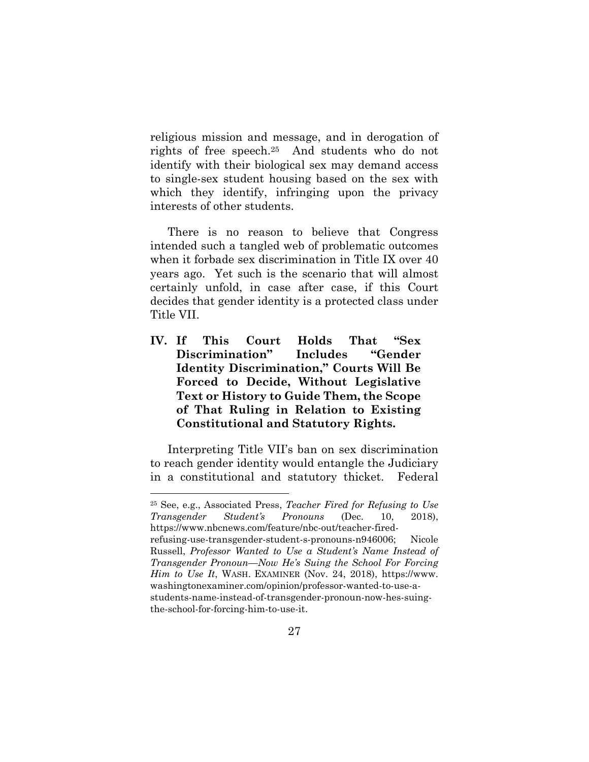religious mission and message, and in derogation of rights of free speech.25 And students who do not identify with their biological sex may demand access to single-sex student housing based on the sex with which they identify, infringing upon the privacy interests of other students.

There is no reason to believe that Congress intended such a tangled web of problematic outcomes when it forbade sex discrimination in Title IX over 40 years ago. Yet such is the scenario that will almost certainly unfold, in case after case, if this Court decides that gender identity is a protected class under Title VII.

**IV. If This Court Holds That "Sex Discrimination" Includes "Gender Identity Discrimination," Courts Will Be Forced to Decide, Without Legislative Text or History to Guide Them, the Scope of That Ruling in Relation to Existing Constitutional and Statutory Rights.** 

Interpreting Title VII's ban on sex discrimination to reach gender identity would entangle the Judiciary in a constitutional and statutory thicket. Federal

 $\overline{a}$ 

25 See, e.g., Associated Press, *Teacher Fired for Refusing to Use Transgender Student's Pronouns* (Dec. 10, 2018), https://www.nbcnews.com/feature/nbc-out/teacher-firedrefusing-use-transgender-student-s-pronouns-n946006; Nicole Russell, *Professor Wanted to Use a Student's Name Instead of Transgender Pronoun—Now He's Suing the School For Forcing Him to Use It*, WASH. EXAMINER (Nov. 24, 2018), https://www. washingtonexaminer.com/opinion/professor-wanted-to-use-astudents-name-instead-of-transgender-pronoun-now-hes-suingthe-school-for-forcing-him-to-use-it.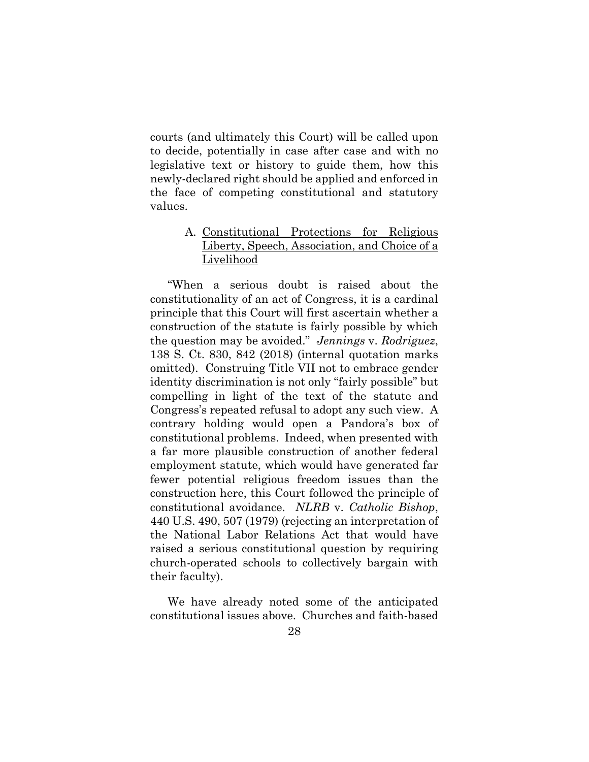courts (and ultimately this Court) will be called upon to decide, potentially in case after case and with no legislative text or history to guide them, how this newly-declared right should be applied and enforced in the face of competing constitutional and statutory values.

# A. Constitutional Protections for Religious Liberty, Speech, Association, and Choice of a Livelihood

"When a serious doubt is raised about the constitutionality of an act of Congress, it is a cardinal principle that this Court will first ascertain whether a construction of the statute is fairly possible by which the question may be avoided." *Jennings* v. *Rodriguez*, 138 S. Ct. 830, 842 (2018) (internal quotation marks omitted). Construing Title VII not to embrace gender identity discrimination is not only "fairly possible" but compelling in light of the text of the statute and Congress's repeated refusal to adopt any such view. A contrary holding would open a Pandora's box of constitutional problems. Indeed, when presented with a far more plausible construction of another federal employment statute, which would have generated far fewer potential religious freedom issues than the construction here, this Court followed the principle of constitutional avoidance. *NLRB* v. *Catholic Bishop*, 440 U.S. 490, 507 (1979) (rejecting an interpretation of the National Labor Relations Act that would have raised a serious constitutional question by requiring church-operated schools to collectively bargain with their faculty).

We have already noted some of the anticipated constitutional issues above. Churches and faith-based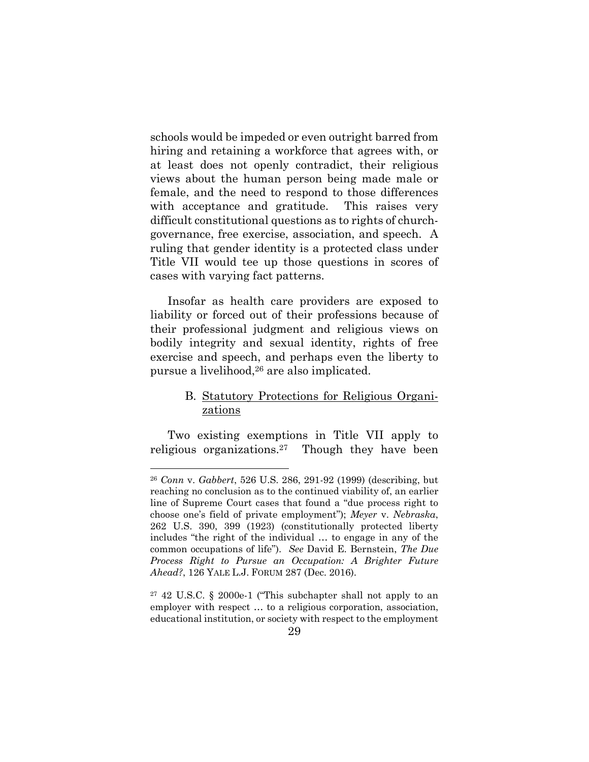schools would be impeded or even outright barred from hiring and retaining a workforce that agrees with, or at least does not openly contradict, their religious views about the human person being made male or female, and the need to respond to those differences with acceptance and gratitude. This raises very difficult constitutional questions as to rights of churchgovernance, free exercise, association, and speech. A ruling that gender identity is a protected class under Title VII would tee up those questions in scores of cases with varying fact patterns.

Insofar as health care providers are exposed to liability or forced out of their professions because of their professional judgment and religious views on bodily integrity and sexual identity, rights of free exercise and speech, and perhaps even the liberty to pursue a livelihood,26 are also implicated.

# B. Statutory Protections for Religious Organizations

Two existing exemptions in Title VII apply to religious organizations.27 Though they have been

<sup>26</sup> *Conn* v. *Gabbert*, 526 U.S. 286, 291-92 (1999) (describing, but reaching no conclusion as to the continued viability of, an earlier line of Supreme Court cases that found a "due process right to choose one's field of private employment"); *Meyer* v. *Nebraska*, 262 U.S. 390, 399 (1923) (constitutionally protected liberty includes "the right of the individual … to engage in any of the common occupations of life"). *See* David E. Bernstein, *The Due Process Right to Pursue an Occupation: A Brighter Future Ahead?*, 126 YALE L.J. FORUM 287 (Dec. 2016).

<sup>27 42</sup> U.S.C. § 2000e-1 ("This subchapter shall not apply to an employer with respect … to a religious corporation, association, educational institution, or society with respect to the employment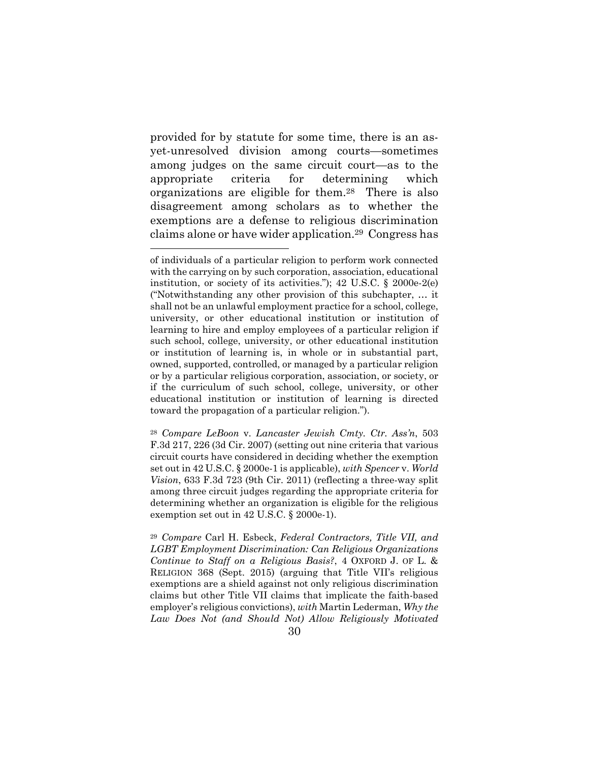provided for by statute for some time, there is an asyet-unresolved division among courts—sometimes among judges on the same circuit court—as to the appropriate criteria for determining which organizations are eligible for them.28 There is also disagreement among scholars as to whether the exemptions are a defense to religious discrimination claims alone or have wider application.29 Congress has

 $\overline{a}$ 

<sup>29</sup> *Compare* Carl H. Esbeck, *Federal Contractors, Title VII, and LGBT Employment Discrimination: Can Religious Organizations Continue to Staff on a Religious Basis?*, 4 OXFORD J. OF L. & RELIGION 368 (Sept. 2015) (arguing that Title VII's religious exemptions are a shield against not only religious discrimination claims but other Title VII claims that implicate the faith-based employer's religious convictions), *with* Martin Lederman, *Why the Law Does Not (and Should Not) Allow Religiously Motivated* 

of individuals of a particular religion to perform work connected with the carrying on by such corporation, association, educational institution, or society of its activities."); 42 U.S.C. § 2000e-2(e) ("Notwithstanding any other provision of this subchapter, … it shall not be an unlawful employment practice for a school, college, university, or other educational institution or institution of learning to hire and employ employees of a particular religion if such school, college, university, or other educational institution or institution of learning is, in whole or in substantial part, owned, supported, controlled, or managed by a particular religion or by a particular religious corporation, association, or society, or if the curriculum of such school, college, university, or other educational institution or institution of learning is directed toward the propagation of a particular religion.").

<sup>28</sup> *Compare LeBoon* v. *Lancaster Jewish Cmty. Ctr. Ass'n*, 503 F.3d 217, 226 (3d Cir. 2007) (setting out nine criteria that various circuit courts have considered in deciding whether the exemption set out in 42 U.S.C. § 2000e-1 is applicable), *with Spencer* v. *World Vision*, 633 F.3d 723 (9th Cir. 2011) (reflecting a three-way split among three circuit judges regarding the appropriate criteria for determining whether an organization is eligible for the religious exemption set out in 42 U.S.C. § 2000e-1).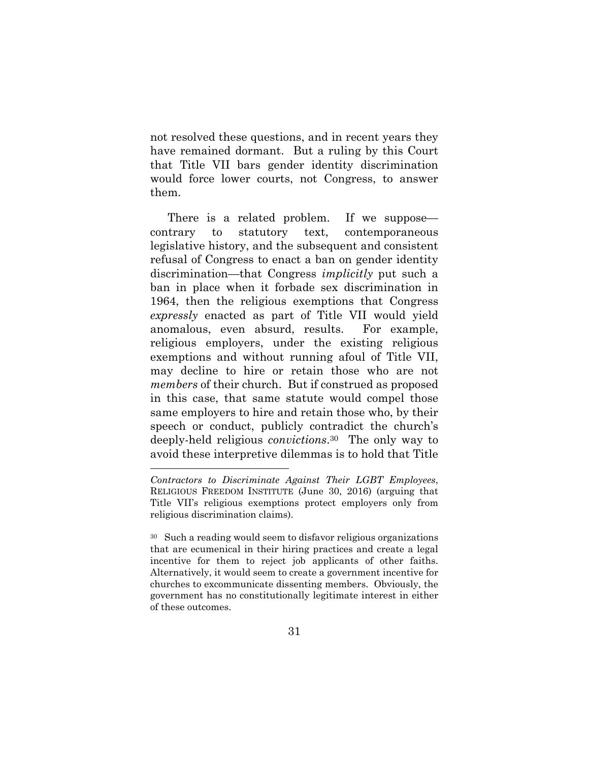not resolved these questions, and in recent years they have remained dormant. But a ruling by this Court that Title VII bars gender identity discrimination would force lower courts, not Congress, to answer them.

There is a related problem. If we suppose contrary to statutory text, contemporaneous legislative history, and the subsequent and consistent refusal of Congress to enact a ban on gender identity discrimination—that Congress *implicitly* put such a ban in place when it forbade sex discrimination in 1964, then the religious exemptions that Congress *expressly* enacted as part of Title VII would yield anomalous, even absurd, results. For example, religious employers, under the existing religious exemptions and without running afoul of Title VII, may decline to hire or retain those who are not *members* of their church. But if construed as proposed in this case, that same statute would compel those same employers to hire and retain those who, by their speech or conduct, publicly contradict the church's deeply-held religious *convictions*.30 The only way to avoid these interpretive dilemmas is to hold that Title

*Contractors to Discriminate Against Their LGBT Employees*, RELIGIOUS FREEDOM INSTITUTE (June 30, 2016) (arguing that Title VII's religious exemptions protect employers only from religious discrimination claims).

<sup>30</sup> Such a reading would seem to disfavor religious organizations that are ecumenical in their hiring practices and create a legal incentive for them to reject job applicants of other faiths. Alternatively, it would seem to create a government incentive for churches to excommunicate dissenting members. Obviously, the government has no constitutionally legitimate interest in either of these outcomes.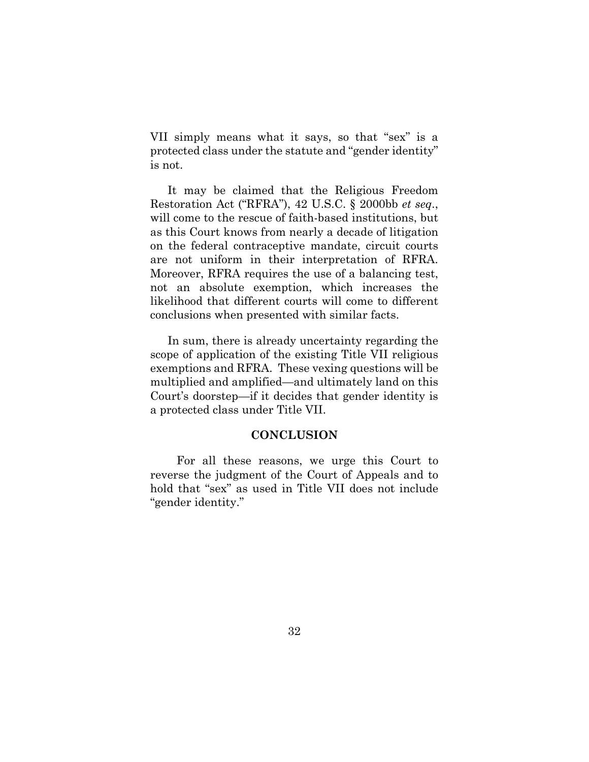VII simply means what it says, so that "sex" is a protected class under the statute and "gender identity" is not.

It may be claimed that the Religious Freedom Restoration Act ("RFRA"), 42 U.S.C. § 2000bb *et seq*., will come to the rescue of faith-based institutions, but as this Court knows from nearly a decade of litigation on the federal contraceptive mandate, circuit courts are not uniform in their interpretation of RFRA. Moreover, RFRA requires the use of a balancing test, not an absolute exemption, which increases the likelihood that different courts will come to different conclusions when presented with similar facts.

In sum, there is already uncertainty regarding the scope of application of the existing Title VII religious exemptions and RFRA. These vexing questions will be multiplied and amplified—and ultimately land on this Court's doorstep—if it decides that gender identity is a protected class under Title VII.

#### **CONCLUSION**

For all these reasons, we urge this Court to reverse the judgment of the Court of Appeals and to hold that "sex" as used in Title VII does not include "gender identity."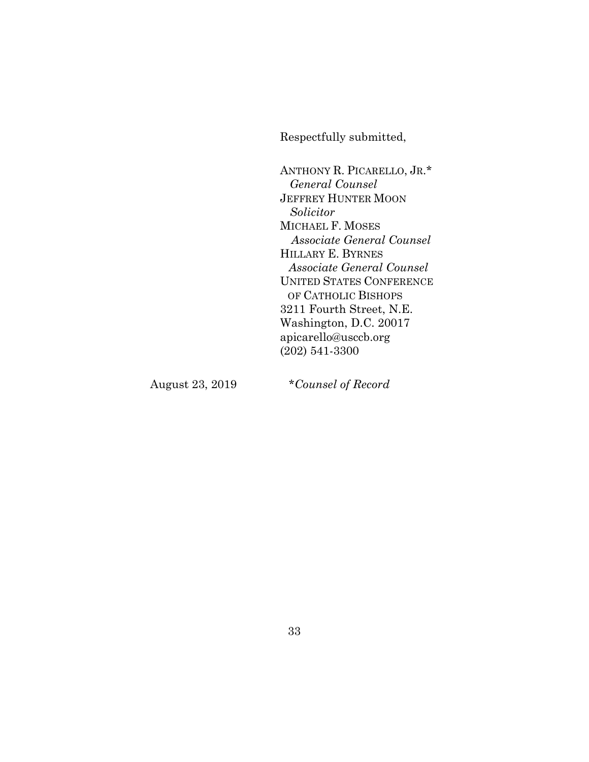Respectfully submitted,

ANTHONY R. PICARELLO, JR.\*  *General Counsel*  JEFFREY HUNTER MOON  *Solicitor*  MICHAEL F. MOSES *Associate General Counsel*  HILLARY E. BYRNES *Associate General Counsel*  UNITED STATES CONFERENCE OF CATHOLIC BISHOPS 3211 Fourth Street, N.E. Washington, D.C. 20017 apicarello@usccb.org (202) 541-3300

August 23, 2019 \**Counsel of Record*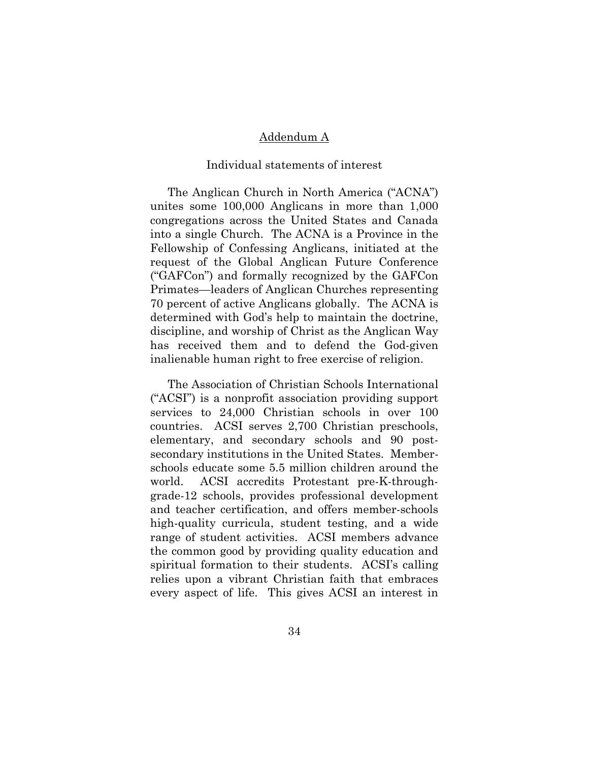## Addendum A

#### Individual statements of interest

The Anglican Church in North America ("ACNA") unites some 100,000 Anglicans in more than 1,000 congregations across the United States and Canada into a single Church. The ACNA is a Province in the Fellowship of Confessing Anglicans, initiated at the request of the Global Anglican Future Conference ("GAFCon") and formally recognized by the GAFCon Primates—leaders of Anglican Churches representing 70 percent of active Anglicans globally. The ACNA is determined with God's help to maintain the doctrine, discipline, and worship of Christ as the Anglican Way has received them and to defend the God-given inalienable human right to free exercise of religion.

The Association of Christian Schools International ("ACSI") is a nonprofit association providing support services to 24,000 Christian schools in over 100 countries. ACSI serves 2,700 Christian preschools, elementary, and secondary schools and 90 postsecondary institutions in the United States. Memberschools educate some 5.5 million children around the world. ACSI accredits Protestant pre-K-throughgrade-12 schools, provides professional development and teacher certification, and offers member-schools high-quality curricula, student testing, and a wide range of student activities. ACSI members advance the common good by providing quality education and spiritual formation to their students. ACSI's calling relies upon a vibrant Christian faith that embraces every aspect of life. This gives ACSI an interest in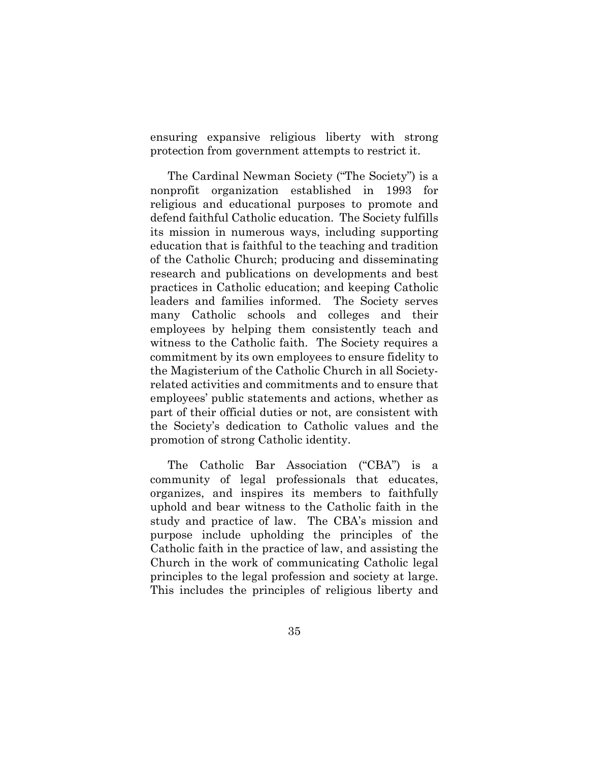ensuring expansive religious liberty with strong protection from government attempts to restrict it.

The Cardinal Newman Society ("The Society") is a nonprofit organization established in 1993 for religious and educational purposes to promote and defend faithful Catholic education. The Society fulfills its mission in numerous ways, including supporting education that is faithful to the teaching and tradition of the Catholic Church; producing and disseminating research and publications on developments and best practices in Catholic education; and keeping Catholic leaders and families informed. The Society serves many Catholic schools and colleges and their employees by helping them consistently teach and witness to the Catholic faith. The Society requires a commitment by its own employees to ensure fidelity to the Magisterium of the Catholic Church in all Societyrelated activities and commitments and to ensure that employees' public statements and actions, whether as part of their official duties or not, are consistent with the Society's dedication to Catholic values and the promotion of strong Catholic identity.

The Catholic Bar Association ("CBA") is a community of legal professionals that educates, organizes, and inspires its members to faithfully uphold and bear witness to the Catholic faith in the study and practice of law. The CBA's mission and purpose include upholding the principles of the Catholic faith in the practice of law, and assisting the Church in the work of communicating Catholic legal principles to the legal profession and society at large. This includes the principles of religious liberty and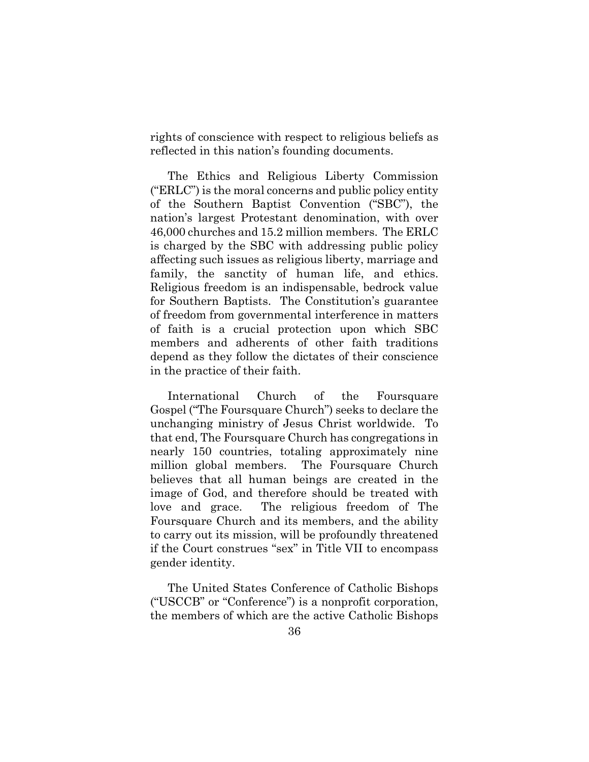rights of conscience with respect to religious beliefs as reflected in this nation's founding documents.

The Ethics and Religious Liberty Commission ("ERLC") is the moral concerns and public policy entity of the Southern Baptist Convention ("SBC"), the nation's largest Protestant denomination, with over 46,000 churches and 15.2 million members. The ERLC is charged by the SBC with addressing public policy affecting such issues as religious liberty, marriage and family, the sanctity of human life, and ethics. Religious freedom is an indispensable, bedrock value for Southern Baptists. The Constitution's guarantee of freedom from governmental interference in matters of faith is a crucial protection upon which SBC members and adherents of other faith traditions depend as they follow the dictates of their conscience in the practice of their faith.

International Church of the Foursquare Gospel ("The Foursquare Church") seeks to declare the unchanging ministry of Jesus Christ worldwide. To that end, The Foursquare Church has congregations in nearly 150 countries, totaling approximately nine million global members. The Foursquare Church believes that all human beings are created in the image of God, and therefore should be treated with love and grace. The religious freedom of The Foursquare Church and its members, and the ability to carry out its mission, will be profoundly threatened if the Court construes "sex" in Title VII to encompass gender identity.

The United States Conference of Catholic Bishops ("USCCB" or "Conference") is a nonprofit corporation, the members of which are the active Catholic Bishops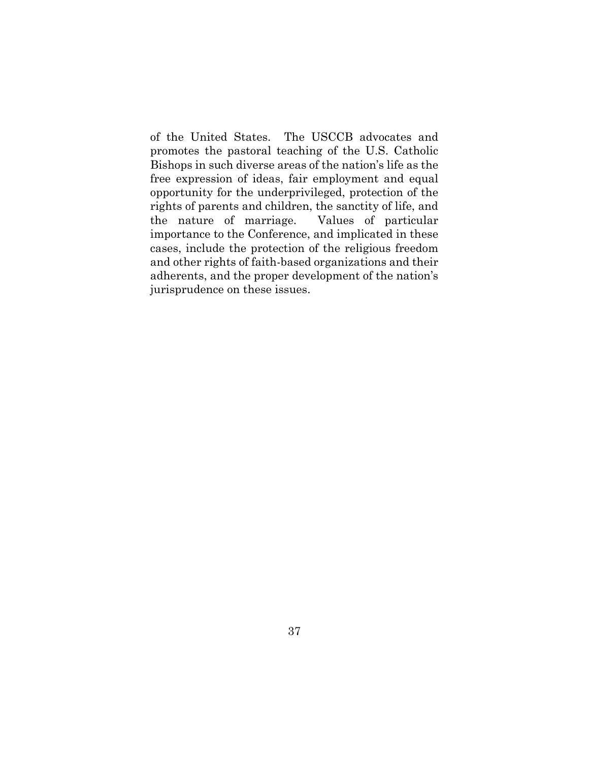of the United States. The USCCB advocates and promotes the pastoral teaching of the U.S. Catholic Bishops in such diverse areas of the nation's life as the free expression of ideas, fair employment and equal opportunity for the underprivileged, protection of the rights of parents and children, the sanctity of life, and the nature of marriage. Values of particular importance to the Conference, and implicated in these cases, include the protection of the religious freedom and other rights of faith-based organizations and their adherents, and the proper development of the nation's jurisprudence on these issues.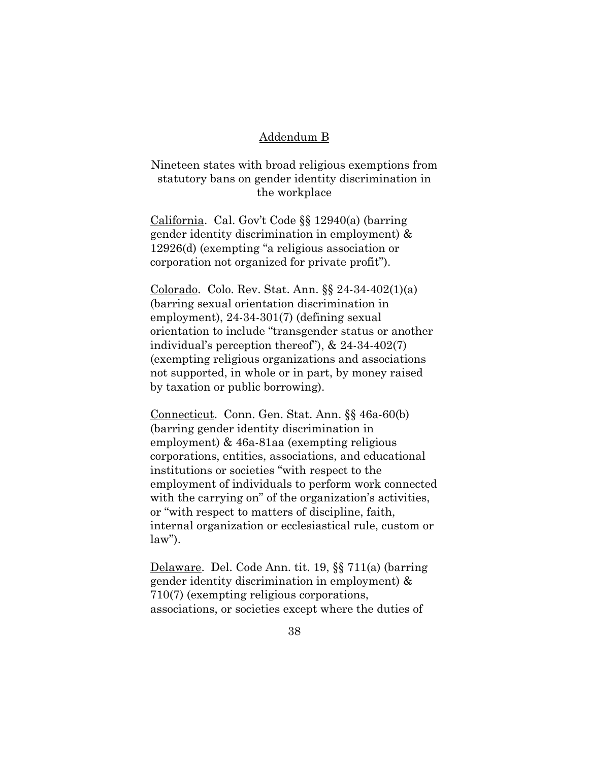#### Addendum B

Nineteen states with broad religious exemptions from statutory bans on gender identity discrimination in the workplace

California. Cal. Gov't Code §§ 12940(a) (barring gender identity discrimination in employment) & 12926(d) (exempting "a religious association or corporation not organized for private profit").

Colorado. Colo. Rev. Stat. Ann. §§ 24-34-402(1)(a) (barring sexual orientation discrimination in employment), 24-34-301(7) (defining sexual orientation to include "transgender status or another individual's perception thereof"), & 24-34-402(7) (exempting religious organizations and associations not supported, in whole or in part, by money raised by taxation or public borrowing).

Connecticut. Conn. Gen. Stat. Ann. §§ 46a-60(b) (barring gender identity discrimination in employment) & 46a-81aa (exempting religious corporations, entities, associations, and educational institutions or societies "with respect to the employment of individuals to perform work connected with the carrying on" of the organization's activities, or "with respect to matters of discipline, faith, internal organization or ecclesiastical rule, custom or law").

Delaware. Del. Code Ann. tit. 19, §§ 711(a) (barring gender identity discrimination in employment) & 710(7) (exempting religious corporations, associations, or societies except where the duties of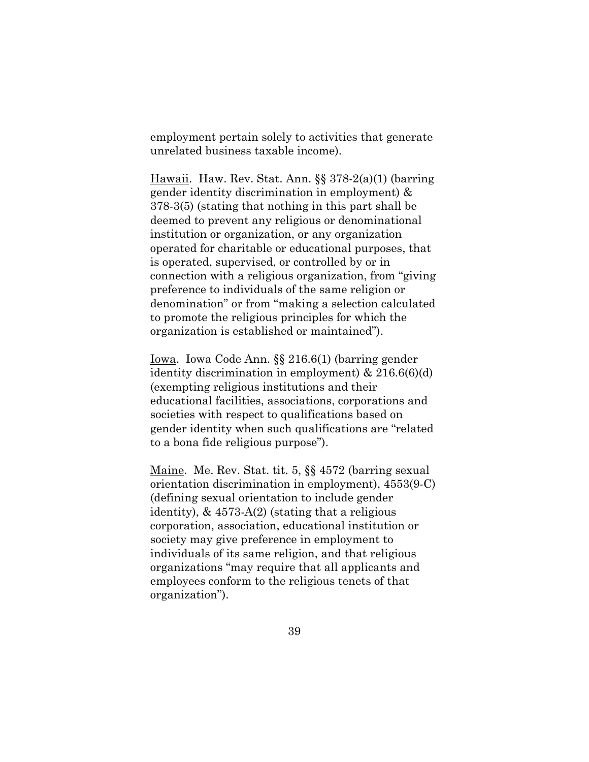employment pertain solely to activities that generate unrelated business taxable income).

Hawaii. Haw. Rev. Stat. Ann. §§ 378-2(a)(1) (barring gender identity discrimination in employment) & 378-3(5) (stating that nothing in this part shall be deemed to prevent any religious or denominational institution or organization, or any organization operated for charitable or educational purposes, that is operated, supervised, or controlled by or in connection with a religious organization, from "giving preference to individuals of the same religion or denomination" or from "making a selection calculated to promote the religious principles for which the organization is established or maintained").

Iowa. Iowa Code Ann. §§ 216.6(1) (barring gender identity discrimination in employment) & 216.6(6)(d) (exempting religious institutions and their educational facilities, associations, corporations and societies with respect to qualifications based on gender identity when such qualifications are "related to a bona fide religious purpose").

Maine. Me. Rev. Stat. tit. 5, §§ 4572 (barring sexual orientation discrimination in employment), 4553(9-C) (defining sexual orientation to include gender identity),  $\&$  4573-A(2) (stating that a religious corporation, association, educational institution or society may give preference in employment to individuals of its same religion, and that religious organizations "may require that all applicants and employees conform to the religious tenets of that organization").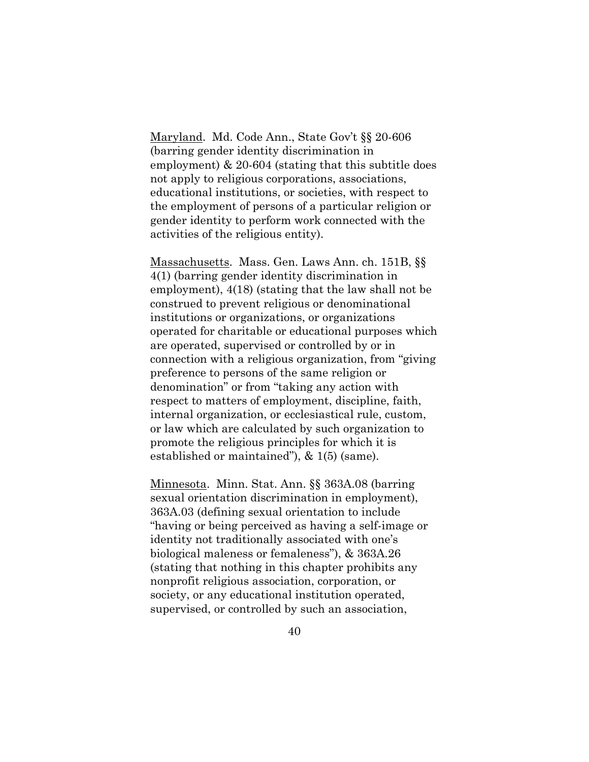Maryland. Md. Code Ann., State Gov't §§ 20-606 (barring gender identity discrimination in employment) & 20-604 (stating that this subtitle does not apply to religious corporations, associations, educational institutions, or societies, with respect to the employment of persons of a particular religion or gender identity to perform work connected with the activities of the religious entity).

Massachusetts. Mass. Gen. Laws Ann. ch. 151B, §§ 4(1) (barring gender identity discrimination in employment), 4(18) (stating that the law shall not be construed to prevent religious or denominational institutions or organizations, or organizations operated for charitable or educational purposes which are operated, supervised or controlled by or in connection with a religious organization, from "giving preference to persons of the same religion or denomination" or from "taking any action with respect to matters of employment, discipline, faith, internal organization, or ecclesiastical rule, custom, or law which are calculated by such organization to promote the religious principles for which it is established or maintained"), & 1(5) (same).

Minnesota. Minn. Stat. Ann. §§ 363A.08 (barring sexual orientation discrimination in employment), 363A.03 (defining sexual orientation to include "having or being perceived as having a self-image or identity not traditionally associated with one's biological maleness or femaleness"), & 363A.26 (stating that nothing in this chapter prohibits any nonprofit religious association, corporation, or society, or any educational institution operated, supervised, or controlled by such an association,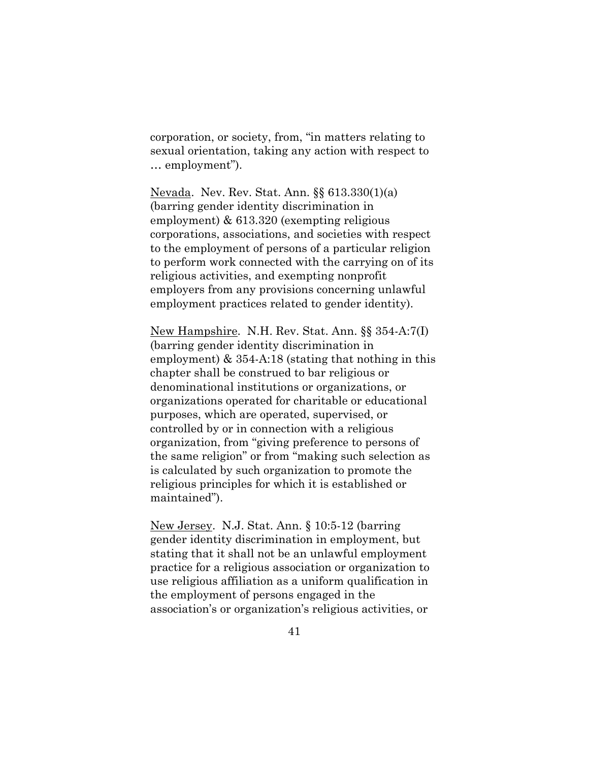corporation, or society, from, "in matters relating to sexual orientation, taking any action with respect to … employment").

Nevada. Nev. Rev. Stat. Ann. §§ 613.330(1)(a) (barring gender identity discrimination in employment) & 613.320 (exempting religious corporations, associations, and societies with respect to the employment of persons of a particular religion to perform work connected with the carrying on of its religious activities, and exempting nonprofit employers from any provisions concerning unlawful employment practices related to gender identity).

New Hampshire. N.H. Rev. Stat. Ann. §§ 354-A:7(I) (barring gender identity discrimination in employment) & 354-A:18 (stating that nothing in this chapter shall be construed to bar religious or denominational institutions or organizations, or organizations operated for charitable or educational purposes, which are operated, supervised, or controlled by or in connection with a religious organization, from "giving preference to persons of the same religion" or from "making such selection as is calculated by such organization to promote the religious principles for which it is established or maintained").

New Jersey. N.J. Stat. Ann. § 10:5-12 (barring gender identity discrimination in employment, but stating that it shall not be an unlawful employment practice for a religious association or organization to use religious affiliation as a uniform qualification in the employment of persons engaged in the association's or organization's religious activities, or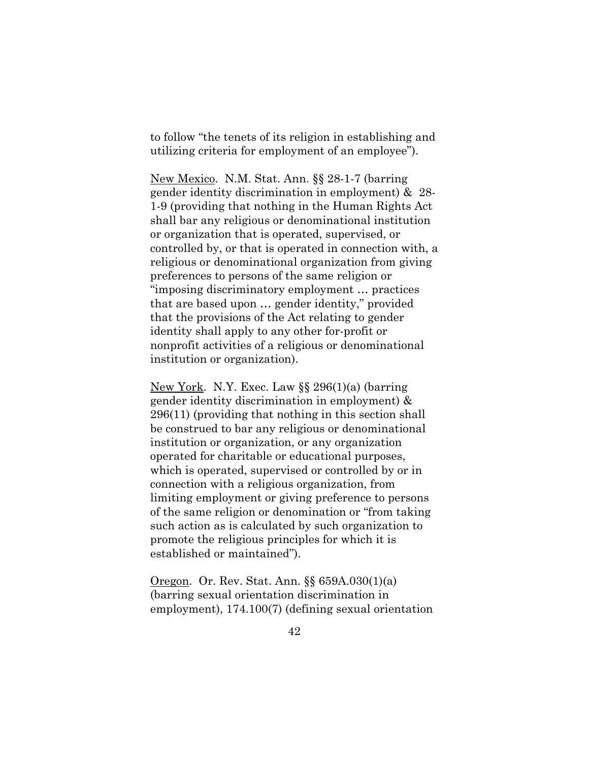to follow "the tenets of its religion in establishing and utilizing criteria for employment of an employee").

New Mexico. N.M. Stat. Ann. §§ 28-1-7 (barring gender identity discrimination in employment) & 28- 1-9 (providing that nothing in the Human Rights Act shall bar any religious or denominational institution or organization that is operated, supervised, or controlled by, or that is operated in connection with, a religious or denominational organization from giving preferences to persons of the same religion or "imposing discriminatory employment … practices that are based upon … gender identity," provided that the provisions of the Act relating to gender identity shall apply to any other for-profit or nonprofit activities of a religious or denominational institution or organization).

New York. N.Y. Exec. Law §§ 296(1)(a) (barring gender identity discrimination in employment) & 296(11) (providing that nothing in this section shall be construed to bar any religious or denominational institution or organization, or any organization operated for charitable or educational purposes, which is operated, supervised or controlled by or in connection with a religious organization, from limiting employment or giving preference to persons of the same religion or denomination or "from taking such action as is calculated by such organization to promote the religious principles for which it is established or maintained").

Oregon. Or. Rev. Stat. Ann. §§ 659A.030(1)(a) (barring sexual orientation discrimination in employment), 174.100(7) (defining sexual orientation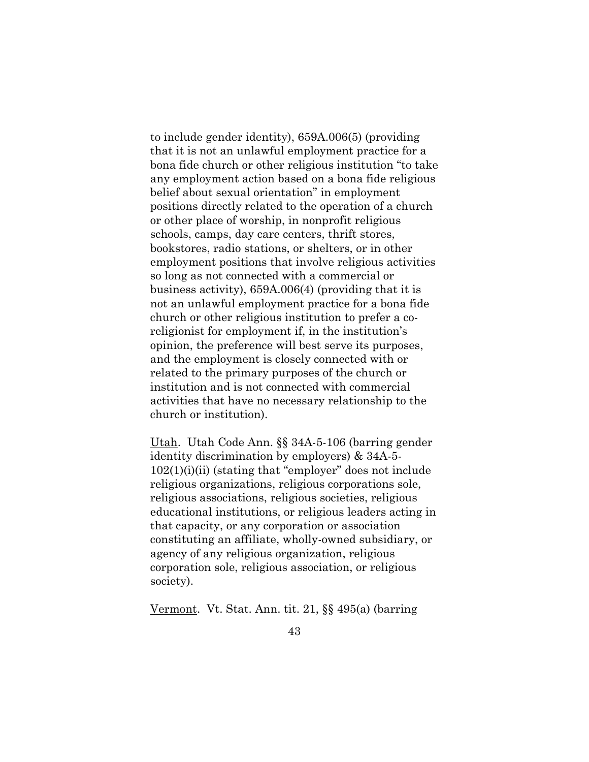to include gender identity), 659A.006(5) (providing that it is not an unlawful employment practice for a bona fide church or other religious institution "to take any employment action based on a bona fide religious belief about sexual orientation" in employment positions directly related to the operation of a church or other place of worship, in nonprofit religious schools, camps, day care centers, thrift stores, bookstores, radio stations, or shelters, or in other employment positions that involve religious activities so long as not connected with a commercial or business activity), 659A.006(4) (providing that it is not an unlawful employment practice for a bona fide church or other religious institution to prefer a coreligionist for employment if, in the institution's opinion, the preference will best serve its purposes, and the employment is closely connected with or related to the primary purposes of the church or institution and is not connected with commercial activities that have no necessary relationship to the church or institution).

Utah. Utah Code Ann. §§ 34A-5-106 (barring gender identity discrimination by employers) & 34A-5-  $102(1)(i)(ii)$  (stating that "employer" does not include religious organizations, religious corporations sole, religious associations, religious societies, religious educational institutions, or religious leaders acting in that capacity, or any corporation or association constituting an affiliate, wholly-owned subsidiary, or agency of any religious organization, religious corporation sole, religious association, or religious society).

Vermont. Vt. Stat. Ann. tit. 21, §§ 495(a) (barring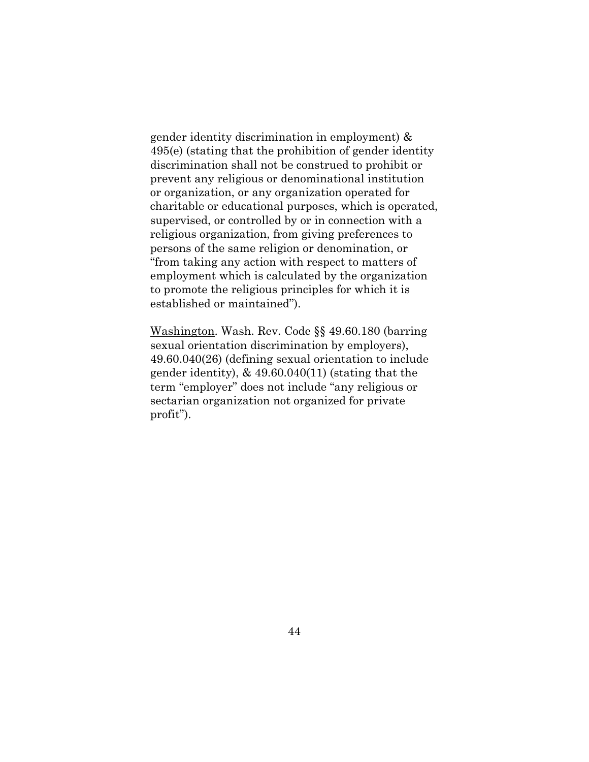gender identity discrimination in employment) & 495(e) (stating that the prohibition of gender identity discrimination shall not be construed to prohibit or prevent any religious or denominational institution or organization, or any organization operated for charitable or educational purposes, which is operated, supervised, or controlled by or in connection with a religious organization, from giving preferences to persons of the same religion or denomination, or "from taking any action with respect to matters of employment which is calculated by the organization to promote the religious principles for which it is established or maintained").

Washington. Wash. Rev. Code §§ 49.60.180 (barring sexual orientation discrimination by employers), 49.60.040(26) (defining sexual orientation to include gender identity), & 49.60.040(11) (stating that the term "employer" does not include "any religious or sectarian organization not organized for private profit").